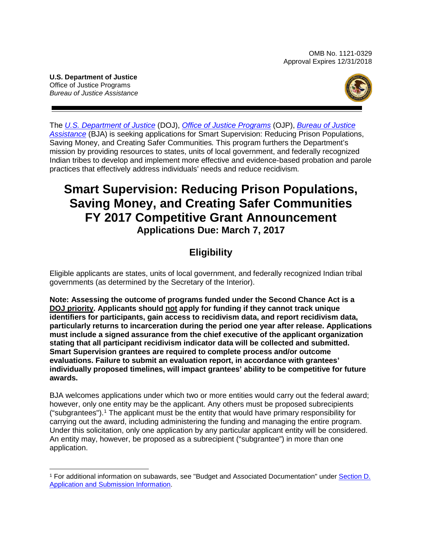OMB No. 1121-0329 Approval Expires 12/31/2018

**U.S. Department of Justice** Office of Justice Programs *Bureau of Justice Assistance*



The *[U.S. Department of Justice](http://www.usdoj.gov/)* (DOJ), *[Office of Justice Programs](http://www.ojp.usdoj.gov/)* (OJP), *[Bureau of Justice](https://www.bja.gov/)  [Assistance](https://www.bja.gov/)* (BJA) is seeking applications for Smart Supervision: Reducing Prison Populations, Saving Money, and Creating Safer Communities*.* This program furthers the Department's mission by providing resources to states, units of local government, and federally recognized Indian tribes to develop and implement more effective and evidence-based probation and parole practices that effectively address individuals' needs and reduce recidivism*.*

# **Smart Supervision: Reducing Prison Populations, Saving Money, and Creating Safer Communities FY 2017 Competitive Grant Announcement Applications Due: March 7, 2017**

# **Eligibility**

Eligible applicants are states, units of local government, and federally recognized Indian tribal governments (as determined by the Secretary of the Interior).

**Note: Assessing the outcome of programs funded under the Second Chance Act is a DOJ priority. Applicants should not apply for funding if they cannot track unique identifiers for participants, gain access to recidivism data, and report recidivism data, particularly returns to incarceration during the period one year after release. Applications must include a signed assurance from the chief executive of the applicant organization stating that all participant recidivism indicator data will be collected and submitted. Smart Supervision grantees are required to complete process and/or outcome evaluations. Failure to submit an evaluation report, in accordance with grantees' individually proposed timelines, will impact grantees' ability to be competitive for future awards.** 

BJA welcomes applications under which two or more entities would carry out the federal award; however, only one entity may be the applicant. Any others must be proposed subrecipients ("subgrantees"). [1](#page-0-0) The applicant must be the entity that would have primary responsibility for carrying out the award, including administering the funding and managing the entire program. Under this solicitation, only one application by any particular applicant entity will be considered. An entity may, however, be proposed as a subrecipient ("subgrantee") in more than one application.

<span id="page-0-0"></span> <sup>1</sup> For additional information on subawards, see "Budget and Associated Documentation" under [Section D.](#page-13-0)  [Application and Submission Information.](#page-13-0)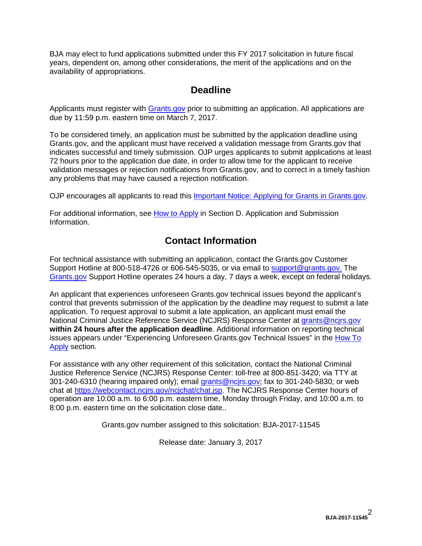BJA may elect to fund applications submitted under this FY 2017 solicitation in future fiscal years, dependent on, among other considerations, the merit of the applications and on the availability of appropriations.

### **Deadline**

Applicants must register with [Grants.gov](http://www.grants.gov/web/grants/register.html) prior to submitting an application. All applications are due by 11:59 p.m. eastern time on March 7, 2017.

To be considered timely, an application must be submitted by the application deadline using Grants.gov, and the applicant must have received a validation message from Grants.gov that indicates successful and timely submission. OJP urges applicants to submit applications at least 72 hours prior to the application due date, in order to allow time for the applicant to receive validation messages or rejection notifications from Grants.gov, and to correct in a timely fashion any problems that may have caused a rejection notification.

OJP encourages all applicants to read this [Important Notice: Applying for Grants in Grants.gov.](http://ojp.gov/funding/Apply/Grants-govInfo.htm)

For additional information, see How [to Apply](#page-24-0) in Section D. Application and Submission [Information.](#page-13-0)

# **Contact Information**

For technical assistance with submitting an application, contact the Grants.gov Customer Support Hotline at 800-518-4726 or 606-545-5035, or via email to [support@grants.gov.](mailto:support@grants.gov) The [Grants.gov](http://www.grants.gov/web/grants/support.html) Support Hotline operates 24 hours a day, 7 days a week, except on federal holidays.

An applicant that experiences unforeseen Grants.gov technical issues beyond the applicant's control that prevents submission of the application by the deadline may request to submit a late application. To request approval to submit a late application, an applicant must email the National Criminal Justice Reference Service (NCJRS) Response Center at [grants@ncjrs.gov](mailto:grants@ncjrs.gov) **within 24 hours after the application deadline**. Additional information on reporting technical issues appears under "Experiencing Unforeseen Grants.gov Technical Issues" in the [How To](#page-24-0)  [Apply](#page-24-0) section.

For assistance with any other requirement of this solicitation, contact the National Criminal Justice Reference Service (NCJRS) Response Center: toll-free at 800-851-3420; via TTY at 301-240-6310 (hearing impaired only); email [grants@ncjrs.gov;](mailto:grants@ncjrs.gov) fax to 301-240-5830; or web chat at [https://webcontact.ncjrs.gov/ncjchat/chat.jsp.](https://webcontact.ncjrs.gov/ncjchat/chat.jsp) The NCJRS Response Center hours of operation are 10:00 a.m. to 6:00 p.m. eastern time, Monday through Friday, and 10:00 a.m. to 8:00 p.m. eastern time on the solicitation close date..

Grants.gov number assigned to this solicitation: BJA-2017-11545

Release date: January 3, 2017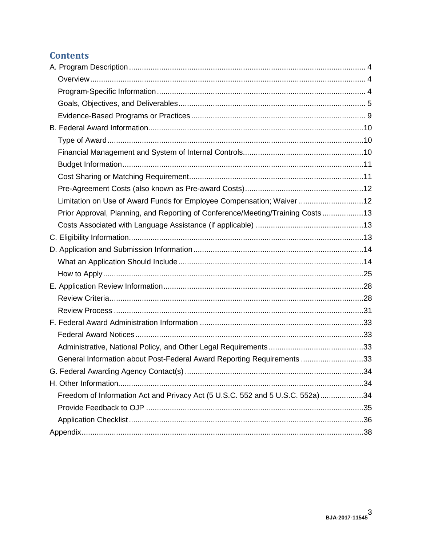# **Contents**

| Limitation on Use of Award Funds for Employee Compensation; Waiver 12          |  |
|--------------------------------------------------------------------------------|--|
| Prior Approval, Planning, and Reporting of Conference/Meeting/Training Costs13 |  |
|                                                                                |  |
|                                                                                |  |
|                                                                                |  |
|                                                                                |  |
|                                                                                |  |
|                                                                                |  |
|                                                                                |  |
|                                                                                |  |
|                                                                                |  |
|                                                                                |  |
|                                                                                |  |
| General Information about Post-Federal Award Reporting Requirements 33         |  |
|                                                                                |  |
|                                                                                |  |
| Freedom of Information Act and Privacy Act (5 U.S.C. 552 and 5 U.S.C. 552a)34  |  |
|                                                                                |  |
|                                                                                |  |
|                                                                                |  |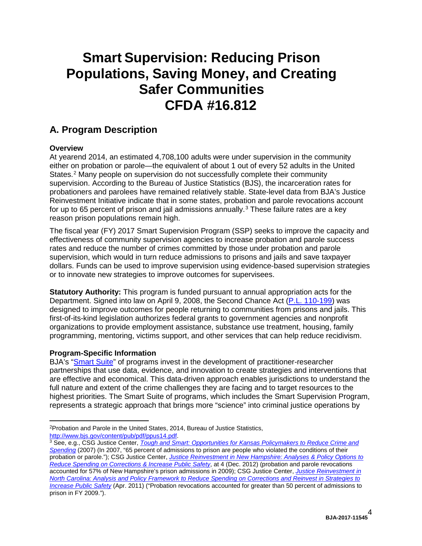# **Smart Supervision: Reducing Prison Populations, Saving Money, and Creating Safer Communities CFDA #16.812**

# <span id="page-3-0"></span>**A. Program Description**

#### <span id="page-3-1"></span>**Overview**

At yearend 2014, an estimated 4,708,100 adults were under supervision in the community either on probation or parole—the equivalent of about 1 out of every 52 adults in the United States. [2](#page-3-3) Many people on supervision do not successfully complete their community supervision. According to the Bureau of Justice Statistics (BJS), the incarceration rates for probationers and parolees have remained relatively stable. State-level data from BJA's Justice Reinvestment Initiative indicate that in some states, probation and parole revocations account for up to 65 percent of prison and jail admissions annually.<sup>[3](#page-3-4)</sup> These failure rates are a key reason prison populations remain high.

The fiscal year (FY) 2017 Smart Supervision Program (SSP) seeks to improve the capacity and effectiveness of community supervision agencies to increase probation and parole success rates and reduce the number of crimes committed by those under probation and parole supervision, which would in turn reduce admissions to prisons and jails and save taxpayer dollars. Funds can be used to improve supervision using evidence-based supervision strategies or to innovate new strategies to improve outcomes for supervisees.

**Statutory Authority:** This program is funded pursuant to annual appropriation acts for the Department. Signed into law on April 9, 2008, the Second Chance Act [\(P.L. 110-199\)](http://www.gpo.gov/fdsys/pkg/PLAW-110publ199/pdf/PLAW-110publ199.pdf) was designed to improve outcomes for people returning to communities from prisons and jails. This first-of-its-kind legislation authorizes federal grants to government agencies and nonprofit organizations to provide employment assistance, substance use treatment, housing, family programming, mentoring, victims support, and other services that can help reduce recidivism.

#### <span id="page-3-2"></span>**Program-Specific Information**

BJA's ["Smart Suite"](http://www.bja.gov/CRPPE/SmartSuite) of programs invest in the development of practitioner-researcher partnerships that use data, evidence, and innovation to create strategies and interventions that are effective and economical. This data-driven approach enables jurisdictions to understand the full nature and extent of the crime challenges they are facing and to target resources to the highest priorities. The Smart Suite of programs, which includes the Smart Supervision Program, represents a strategic approach that brings more "science" into criminal justice operations by

<span id="page-3-3"></span><sup>&</sup>lt;sup>2</sup>Probation and Parole in the United States, 2014, Bureau of Justice Statistics, http://www.bjs.gov/content/pub/pdf/ppus14.pdf.

<span id="page-3-4"></span><sup>&</sup>lt;sup>3</sup> See, e.g., CSG Justice Center, *Tough and Smart: Opportunities for Kansas Policymakers to Reduce Crime and [Spending](https://csgjusticecenter.org/wp-content/uploads/2012/12/ks_policy_forum_one_pager.pdf)* (2007) (In 2007, "65 percent of admissions to prison are people who violated the conditions of their probation or parole."); CSG Justice Center, *[Justice Reinvestment in New Hampshire: Analyses & Policy Options to](https://csgjusticecenter.org/wp-content/uploads/2012/12/JR_New_Hampshire_Report_2010.pdf)  [Reduce Spending on Corrections & Increase Public Safety](https://csgjusticecenter.org/wp-content/uploads/2012/12/JR_New_Hampshire_Report_2010.pdf)*, at 4 (Dec. 2012) (probation and parole revocations accounted for 57% of New Hampshire's prison admissions in 2009); CSG Justice Center, *[Justice Reinvestment in](http://csgjusticecenter.org/wp-content/uploads/2012/12/JR_North_Carolina_policy_framework_v8mg_mc.pdf)  [North Carolina: Analysis and Policy Framework to Reduce Spending on Corrections and Reinvest in Strategies to](http://csgjusticecenter.org/wp-content/uploads/2012/12/JR_North_Carolina_policy_framework_v8mg_mc.pdf)  [Increase Public Safety](http://csgjusticecenter.org/wp-content/uploads/2012/12/JR_North_Carolina_policy_framework_v8mg_mc.pdf)* (Apr. 2011) ("Probation revocations accounted for greater than 50 percent of admissions to prison in FY 2009.").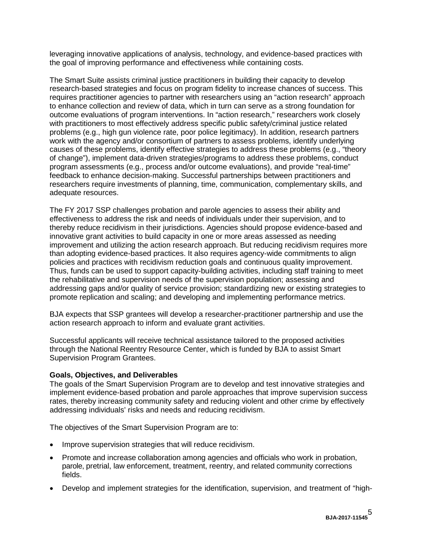leveraging innovative applications of analysis, technology, and evidence-based practices with the goal of improving performance and effectiveness while containing costs.

The Smart Suite assists criminal justice practitioners in building their capacity to develop research-based strategies and focus on program fidelity to increase chances of success. This requires practitioner agencies to partner with researchers using an "action research" approach to enhance collection and review of data, which in turn can serve as a strong foundation for outcome evaluations of program interventions. In "action research," researchers work closely with practitioners to most effectively address specific public safety/criminal justice related problems (e.g., high gun violence rate, poor police legitimacy). In addition, research partners work with the agency and/or consortium of partners to assess problems, identify underlying causes of these problems, identify effective strategies to address these problems (e.g., "theory of change"), implement data-driven strategies/programs to address these problems, conduct program assessments (e.g., process and/or outcome evaluations), and provide "real-time" feedback to enhance decision-making. Successful partnerships between practitioners and researchers require investments of planning, time, communication, complementary skills, and adequate resources.

The FY 2017 SSP challenges probation and parole agencies to assess their ability and effectiveness to address the risk and needs of individuals under their supervision, and to thereby reduce recidivism in their jurisdictions. Agencies should propose evidence-based and innovative grant activities to build capacity in one or more areas assessed as needing improvement and utilizing the action research approach. But reducing recidivism requires more than adopting evidence-based practices. It also requires agency-wide commitments to align policies and practices with recidivism reduction goals and continuous quality improvement. Thus, funds can be used to support capacity-building activities, including staff training to meet the rehabilitative and supervision needs of the supervision population; assessing and addressing gaps and/or quality of service provision; standardizing new or existing strategies to promote replication and scaling; and developing and implementing performance metrics.

BJA expects that SSP grantees will develop a researcher-practitioner partnership and use the action research approach to inform and evaluate grant activities.

Successful applicants will receive technical assistance tailored to the proposed activities through the National Reentry Resource Center, which is funded by BJA to assist Smart Supervision Program Grantees.

#### <span id="page-4-0"></span>**Goals, Objectives, and Deliverables**

The goals of the Smart Supervision Program are to develop and test innovative strategies and implement evidence-based probation and parole approaches that improve supervision success rates, thereby increasing community safety and reducing violent and other crime by effectively addressing individuals' risks and needs and reducing recidivism.

The objectives of the Smart Supervision Program are to:

- Improve supervision strategies that will reduce recidivism.
- Promote and increase collaboration among agencies and officials who work in probation, parole, pretrial, law enforcement, treatment, reentry, and related community corrections fields.
- Develop and implement strategies for the identification, supervision, and treatment of "high-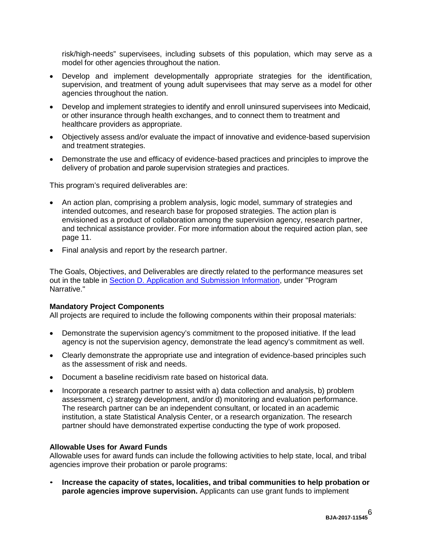risk/high-needs" supervisees, including subsets of this population, which may serve as a model for other agencies throughout the nation.

- Develop and implement developmentally appropriate strategies for the identification, supervision, and treatment of young adult supervisees that may serve as a model for other agencies throughout the nation.
- Develop and implement strategies to identify and enroll uninsured supervisees into Medicaid, or other insurance through health exchanges, and to connect them to treatment and healthcare providers as appropriate.
- Objectively assess and/or evaluate the impact of innovative and evidence-based supervision and treatment strategies.
- Demonstrate the use and efficacy of evidence-based practices and principles to improve the delivery of probation and parole supervision strategies and practices.

This program's required deliverables are:

- An action plan, comprising a problem analysis, logic model, summary of strategies and intended outcomes, and research base for proposed strategies. The action plan is envisioned as a product of collaboration among the supervision agency, research partner, and technical assistance provider. For more information about the required action plan, see page 11.
- Final analysis and report by the research partner.

The Goals, Objectives, and Deliverables are directly related to the performance measures set out in the table in [Section D. Application and Submission Information,](#page-13-0) under "Program Narrative."

#### **Mandatory Project Components**

All projects are required to include the following components within their proposal materials:

- Demonstrate the supervision agency's commitment to the proposed initiative. If the lead agency is not the supervision agency, demonstrate the lead agency's commitment as well.
- Clearly demonstrate the appropriate use and integration of evidence-based principles such as the assessment of risk and needs.
- Document a baseline recidivism rate based on historical data.
- Incorporate a research partner to assist with a) data collection and analysis, b) problem assessment, c) strategy development, and/or d) monitoring and evaluation performance. The research partner can be an independent consultant, or located in an academic institution, a state Statistical Analysis Center, or a research organization. The research partner should have demonstrated expertise conducting the type of work proposed.

#### **Allowable Uses for Award Funds**

Allowable uses for award funds can include the following activities to help state, local, and tribal agencies improve their probation or parole programs:

• **Increase the capacity of states, localities, and tribal communities to help probation or parole agencies improve supervision.** Applicants can use grant funds to implement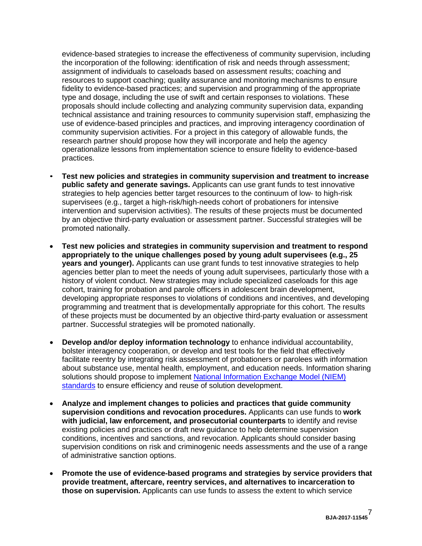evidence-based strategies to increase the effectiveness of community supervision, including the incorporation of the following: identification of risk and needs through assessment; assignment of individuals to caseloads based on assessment results; coaching and resources to support coaching; quality assurance and monitoring mechanisms to ensure fidelity to evidence-based practices; and supervision and programming of the appropriate type and dosage, including the use of swift and certain responses to violations. These proposals should include collecting and analyzing community supervision data, expanding technical assistance and training resources to community supervision staff, emphasizing the use of evidence-based principles and practices, and improving interagency coordination of community supervision activities. For a project in this category of allowable funds, the research partner should propose how they will incorporate and help the agency operationalize lessons from implementation science to ensure fidelity to evidence-based practices.

- **Test new policies and strategies in community supervision and treatment to increase public safety and generate savings.** Applicants can use grant funds to test innovative strategies to help agencies better target resources to the continuum of low- to high-risk supervisees (e.g., target a high-risk/high-needs cohort of probationers for intensive intervention and supervision activities). The results of these projects must be documented by an objective third-party evaluation or assessment partner. Successful strategies will be promoted nationally.
- **Test new policies and strategies in community supervision and treatment to respond appropriately to the unique challenges posed by young adult supervisees (e.g., 25 years and younger).** Applicants can use grant funds to test innovative strategies to help agencies better plan to meet the needs of young adult supervisees, particularly those with a history of violent conduct. New strategies may include specialized caseloads for this age cohort, training for probation and parole officers in adolescent brain development, developing appropriate responses to violations of conditions and incentives, and developing programming and treatment that is developmentally appropriate for this cohort. The results of these projects must be documented by an objective third-party evaluation or assessment partner. Successful strategies will be promoted nationally.
- **Develop and/or deploy information technology** to enhance individual accountability, bolster interagency cooperation, or develop and test tools for the field that effectively facilitate reentry by integrating risk assessment of probationers or parolees with information about substance use, mental health, employment, and education needs. Information sharing solutions should propose to implement [National Information Exchange Model \(NIEM\)](https://www.niem.gov/aboutniem/Pages/niem.aspx)  [standards](https://www.niem.gov/aboutniem/Pages/niem.aspx) to ensure efficiency and reuse of solution development.
- **Analyze and implement changes to policies and practices that guide community supervision conditions and revocation procedures.** Applicants can use funds to **work with judicial, law enforcement, and prosecutorial counterparts** to identify and revise existing policies and practices or draft new guidance to help determine supervision conditions, incentives and sanctions, and revocation. Applicants should consider basing supervision conditions on risk and criminogenic needs assessments and the use of a range of administrative sanction options.
- **Promote the use of evidence-based programs and strategies by service providers that provide treatment, aftercare, reentry services, and alternatives to incarceration to those on supervision.** Applicants can use funds to assess the extent to which service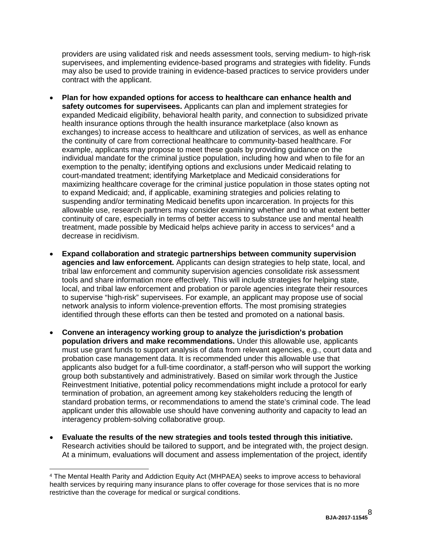providers are using validated risk and needs assessment tools, serving medium- to high-risk supervisees, and implementing evidence-based programs and strategies with fidelity. Funds may also be used to provide training in evidence-based practices to service providers under contract with the applicant.

- **Plan for how expanded options for access to healthcare can enhance health and safety outcomes for supervisees.** Applicants can plan and implement strategies for expanded Medicaid eligibility, behavioral health parity, and connection to subsidized private health insurance options through the health insurance marketplace (also known as exchanges) to increase access to healthcare and utilization of services, as well as enhance the continuity of care from correctional healthcare to community-based healthcare. For example, applicants may propose to meet these goals by providing guidance on the individual mandate for the criminal justice population, including how and when to file for an exemption to the penalty; identifying options and exclusions under Medicaid relating to court-mandated treatment; identifying Marketplace and Medicaid considerations for maximizing healthcare coverage for the criminal justice population in those states opting not to expand Medicaid; and, if applicable, examining strategies and policies relating to suspending and/or terminating Medicaid benefits upon incarceration. In projects for this allowable use, research partners may consider examining whether and to what extent better continuity of care, especially in terms of better access to substance use and mental health treatment, made possible by Medicaid helps achieve parity in access to services $4$  and a decrease in recidivism.
- **Expand collaboration and strategic partnerships between community supervision agencies and law enforcement.** Applicants can design strategies to help state, local, and tribal law enforcement and community supervision agencies consolidate risk assessment tools and share information more effectively. This will include strategies for helping state, local, and tribal law enforcement and probation or parole agencies integrate their resources to supervise "high-risk" supervisees. For example, an applicant may propose use of social network analysis to inform violence-prevention efforts. The most promising strategies identified through these efforts can then be tested and promoted on a national basis.
- **Convene an interagency working group to analyze the jurisdiction's probation population drivers and make recommendations.** Under this allowable use, applicants must use grant funds to support analysis of data from relevant agencies, e.g., court data and probation case management data. It is recommended under this allowable use that applicants also budget for a full-time coordinator, a staff-person who will support the working group both substantively and administratively. Based on similar work through the Justice Reinvestment Initiative, potential policy recommendations might include a protocol for early termination of probation, an agreement among key stakeholders reducing the length of standard probation terms, or recommendations to amend the state's criminal code. The lead applicant under this allowable use should have convening authority and capacity to lead an interagency problem-solving collaborative group.
- **Evaluate the results of the new strategies and tools tested through this initiative.** Research activities should be tailored to support, and be integrated with, the project design. At a minimum, evaluations will document and assess implementation of the project, identify

<span id="page-7-0"></span> <sup>4</sup> The Mental Health Parity and Addiction Equity Act (MHPAEA) seeks to improve access to behavioral health services by requiring many insurance plans to offer coverage for those services that is no more restrictive than the coverage for medical or surgical conditions.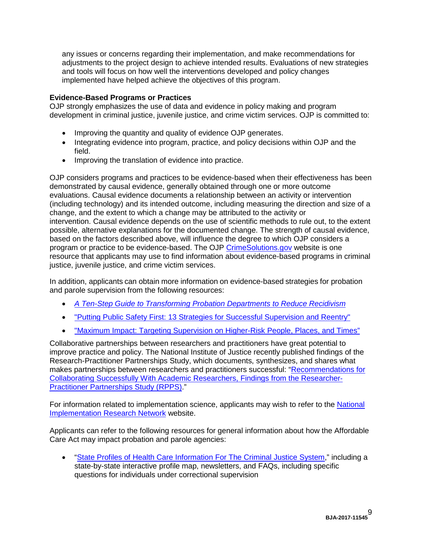any issues or concerns regarding their implementation, and make recommendations for adjustments to the project design to achieve intended results. Evaluations of new strategies and tools will focus on how well the interventions developed and policy changes implemented have helped achieve the objectives of this program.

#### <span id="page-8-0"></span>**Evidence-Based Programs or Practices**

OJP strongly emphasizes the use of data and evidence in policy making and program development in criminal justice, juvenile justice, and crime victim services. OJP is committed to:

- Improving the quantity and quality of evidence OJP generates.
- Integrating evidence into program, practice, and policy decisions within OJP and the field.
- Improving the translation of evidence into practice.

OJP considers programs and practices to be evidence-based when their effectiveness has been demonstrated by causal evidence, generally obtained through one or more outcome evaluations. Causal evidence documents a relationship between an activity or intervention (including technology) and its intended outcome, including measuring the direction and size of a change, and the extent to which a change may be attributed to the activity or intervention. Causal evidence depends on the use of scientific methods to rule out, to the extent possible, alternative explanations for the documented change. The strength of causal evidence, based on the factors described above, will influence the degree to which OJP considers a program or practice to be evidence-based. The OJP [CrimeSolutions.gov](https://www.crimesolutions.gov/) website is one resource that applicants may use to find information about evidence-based programs in criminal justice, juvenile justice, and crime victim services.

In addition, applicants can obtain more information on evidence-based strategies for probation and parole supervision from the following resources:

- *[A Ten-Step Guide to Transforming Probation Departments to Reduce Recidivism](https://csgjusticecenter.org/corrections/publications/ten-step-guide-to-transforming-probation-departments-to-reduce-recidivism/)*
- ["Putting Public Safety First: 13 Strategies for Successful Supervision and Reentry"](http://www.urban.org/sites/default/files/alfresco/publication-pdfs/411800-Putting-Public-Safety-First--Strategies-for-Successful-Supervision-and-Reentry-Policy-Brief-.PDF)
- ["Maximum Impact: Targeting Supervision on Higher-Risk People, Places,](http://www.pewtrusts.org/en/research-and-analysis/issue-briefs/2009/07/17/maximum-impact-targeting-supervision-on-higherrisk-people-places-and-times) and Times"

Collaborative partnerships between researchers and practitioners have great potential to improve practice and policy. The National Institute of Justice recently published findings of the Research-Practitioner Partnerships Study, which documents, synthesizes, and shares what makes partnerships between researchers and practitioners successful: ["Recommendations for](http://www.ncjrs.gov/pdffiles1/nij/grants/243911.pdf)  [Collaborating Successfully With Academic Researchers, Findings from the Researcher](http://www.ncjrs.gov/pdffiles1/nij/grants/243911.pdf)‐ [Practitioner Partnerships Study \(RPPS\).](http://www.ncjrs.gov/pdffiles1/nij/grants/243911.pdf)"

For information related to implementation science, applicants may wish to refer to the [National](http://nirn.fpg.unc.edu/)  [Implementation Research Network](http://nirn.fpg.unc.edu/) website.

Applicants can refer to the following resources for general information about how the Affordable Care Act may impact probation and parole agencies:

• ["State Profiles of Health Care Information For The Criminal Justice System,](https://lac.org/resources/state-profiles-healthcare-information-for-criminal-justice-system/)" including a state-by-state interactive profile map, newsletters, and FAQs, including specific questions for individuals under correctional supervision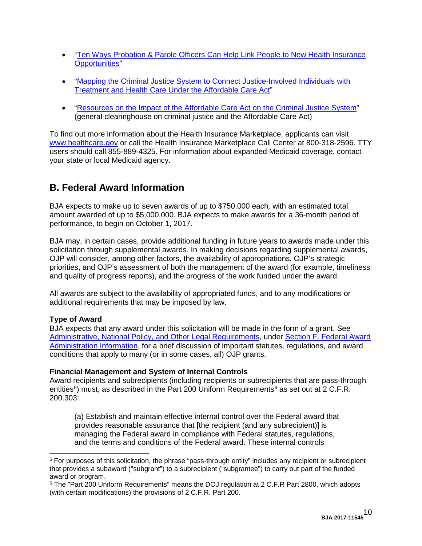- ["Ten Ways Probation & Parole Officers Can Help Link People to New Health Insurance](https://marketplace.cms.gov/outreach-and-education/ten-ways-probation-and-parole.pdf)  [Opportunities"](https://marketplace.cms.gov/outreach-and-education/ten-ways-probation-and-parole.pdf)
- ["Mapping the Criminal Justice System to Connect Justice-Involved Individuals with](http://csgjusticecenter.org/corrections/publications/mapping-the-criminal-justice-system-to-connect-justice-involved-individuals-with-treatment-and-health-care-under-the-affordable-care-act/)  [Treatment and Health Care Under the Affordable Care Act"](http://csgjusticecenter.org/corrections/publications/mapping-the-criminal-justice-system-to-connect-justice-involved-individuals-with-treatment-and-health-care-under-the-affordable-care-act/)
- ["Resources on the Impact of the Affordable Care Act on the Criminal Justice System"](http://www.ncja.org/issues-and-legislation/aca) (general clearinghouse on criminal justice and the Affordable Care Act)

To find out more information about the Health Insurance Marketplace, applicants can visit [www.healthcare.gov](http://www.healthcare.gov/) or call the Health Insurance Marketplace Call Center at 800-318-2596. TTY users should call 855-889-4325. For information about expanded Medicaid coverage, contact your state or local Medicaid agency.

# <span id="page-9-0"></span>**B. Federal Award Information**

BJA expects to make up to seven awards of up to \$750,000 each*,* with an estimated total amount awarded of up to \$5,000,000*.* BJA expects to make awards for a 36-month period of performance, to begin on October 1, 2017.

BJA may, in certain cases, provide additional funding in future years to awards made under this solicitation through supplemental awards. In making decisions regarding supplemental awards, OJP will consider, among other factors, the availability of appropriations, OJP's strategic priorities, and OJP's assessment of both the management of the award (for example, timeliness and quality of progress reports), and the progress of the work funded under the award.

All awards are subject to the availability of appropriated funds, and to any modifications or additional requirements that may be imposed by law.

#### <span id="page-9-1"></span>**Type of Award**

BJA expects that any award under this solicitation will be made in the form of a grant. See [Administrative, National Policy, and Other Legal Requirements,](#page-32-0) under [Section F. Federal Award](#page-32-0)  [Administration Information,](#page-32-0) for a brief discussion of important statutes, regulations, and award conditions that apply to many (or in some cases, all) OJP grants.

#### <span id="page-9-2"></span>**Financial Management and System of Internal Controls**

Award recipients and subrecipients (including recipients or subrecipients that are pass-through entities<sup>[5](#page-9-3)</sup>) must, as described in the Part 200 Uniform Requirements<sup>[6](#page-9-4)</sup> as set out at 2 C.F.R. 200.303:

(a) Establish and maintain effective internal control over the Federal award that provides reasonable assurance that [the recipient (and any subrecipient)] is managing the Federal award in compliance with Federal statutes, regulations, and the terms and conditions of the Federal award. These internal controls

<span id="page-9-3"></span> <sup>5</sup> For purposes of this solicitation, the phrase "pass-through entity" includes any recipient or subrecipient that provides a subaward ("subgrant") to a subrecipient ("subgrantee") to carry out part of the funded award or program.

<span id="page-9-4"></span><sup>&</sup>lt;sup>6</sup> The "Part 200 Uniform Requirements" means the DOJ regulation at 2 C.F.R Part 2800, which adopts (with certain modifications) the provisions of 2 C.F.R. Part 200.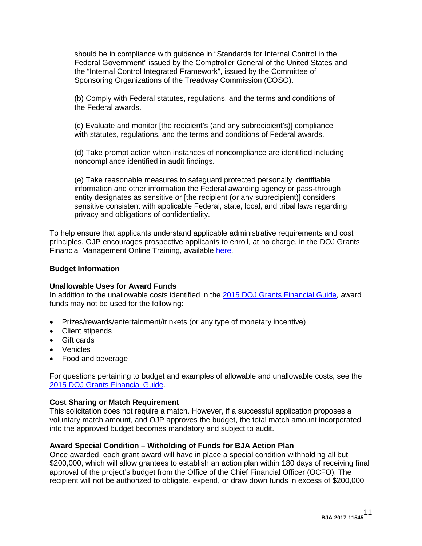should be in compliance with guidance in "Standards for Internal Control in the Federal Government" issued by the Comptroller General of the United States and the "Internal Control Integrated Framework", issued by the Committee of Sponsoring Organizations of the Treadway Commission (COSO).

(b) Comply with Federal statutes, regulations, and the terms and conditions of the Federal awards.

(c) Evaluate and monitor [the recipient's (and any subrecipient's)] compliance with statutes, regulations, and the terms and conditions of Federal awards.

(d) Take prompt action when instances of noncompliance are identified including noncompliance identified in audit findings.

(e) Take reasonable measures to safeguard protected personally identifiable information and other information the Federal awarding agency or pass-through entity designates as sensitive or [the recipient (or any subrecipient)] considers sensitive consistent with applicable Federal, state, local, and tribal laws regarding privacy and obligations of confidentiality.

To help ensure that applicants understand applicable administrative requirements and cost principles, OJP encourages prospective applicants to enroll, at no charge, in the DOJ Grants Financial Management Online Training, available [here.](http://gfm.webfirst.com/)

#### <span id="page-10-0"></span>**Budget Information**

#### **Unallowable Uses for Award Funds**

In addition to the unallowable costs identified in the [2015 DOJ Grants Financial Guide](http://ojp.gov/financialguide/DOJ/index.htm)*,* award funds may not be used for the following:

- Prizes/rewards/entertainment/trinkets (or any type of monetary incentive)
- Client stipends
- Gift cards
- Vehicles
- Food and beverage

For questions pertaining to budget and examples of allowable and unallowable costs, see the [2015 DOJ Grants Financial Guide.](http://ojp.gov/financialguide/DOJ/index.htm)

#### <span id="page-10-1"></span>**Cost Sharing or Match Requirement**

This solicitation does not require a match. However, if a successful application proposes a voluntary match amount, and OJP approves the budget, the total match amount incorporated into the approved budget becomes mandatory and subject to audit.

#### <span id="page-10-2"></span>**Award Special Condition – Witholding of Funds for BJA Action Plan**

Once awarded, each grant award will have in place a special condition withholding all but \$200,000, which will allow grantees to establish an action plan within 180 days of receiving final approval of the project's budget from the Office of the Chief Financial Officer (OCFO). The recipient will not be authorized to obligate, expend, or draw down funds in excess of \$200,000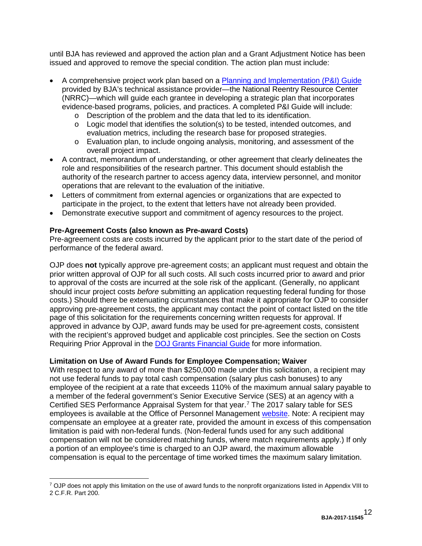until BJA has reviewed and approved the action plan and a Grant Adjustment Notice has been issued and approved to remove the special condition. The action plan must include:

- A comprehensive project work plan based on a [Planning and Implementation \(P&I\) Guide](https://csgjusticecenter.org/nrrc/posts/planning-and-implementation-guide-for-sca-smart-supervision-grantees/) provided by BJA's technical assistance provider—the National Reentry Resource Center (NRRC)—which will guide each grantee in developing a strategic plan that incorporates evidence-based programs, policies, and practices. A completed P&I Guide will include:
	- o Description of the problem and the data that led to its identification.
	- o Logic model that identifies the solution(s) to be tested, intended outcomes, and evaluation metrics, including the research base for proposed strategies.
	- o Evaluation plan, to include ongoing analysis, monitoring, and assessment of the overall project impact.
- A contract, memorandum of understanding, or other agreement that clearly delineates the role and responsibilities of the research partner. This document should establish the authority of the research partner to access agency data, interview personnel, and monitor operations that are relevant to the evaluation of the initiative.
- Letters of commitment from external agencies or organizations that are expected to participate in the project, to the extent that letters have not already been provided.
- Demonstrate executive support and commitment of agency resources to the project.

#### <span id="page-11-0"></span>**Pre-Agreement Costs (also known as Pre-award Costs)**

Pre-agreement costs are costs incurred by the applicant prior to the start date of the period of performance of the federal award.

OJP does **not** typically approve pre-agreement costs; an applicant must request and obtain the prior written approval of OJP for all such costs. All such costs incurred prior to award and prior to approval of the costs are incurred at the sole risk of the applicant. (Generally, no applicant should incur project costs *before* submitting an application requesting federal funding for those costs.) Should there be extenuating circumstances that make it appropriate for OJP to consider approving pre-agreement costs, the applicant may contact the point of contact listed on the title page of this solicitation for the requirements concerning written requests for approval. If approved in advance by OJP, award funds may be used for pre-agreement costs, consistent with the recipient's approved budget and applicable cost principles. See the section on Costs Requiring Prior Approval in the [DOJ Grants Financial Guide](http://ojp.gov/financialguide/DOJ/index.htm) for more information.

#### <span id="page-11-1"></span>**Limitation on Use of Award Funds for Employee Compensation; Waiver**

With respect to any award of more than \$250,000 made under this solicitation, a recipient may not use federal funds to pay total cash compensation (salary plus cash bonuses) to any employee of the recipient at a rate that exceeds 110% of the maximum annual salary payable to a member of the federal government's Senior Executive Service (SES) at an agency with a Certified SES Performance Appraisal System for that year. [7](#page-11-2) The 2017 salary table for SES employees is available at the Office of Personnel Management [website.](http://www.opm.gov/policy-data-oversight/pay-leave/salaries-wages/salary-tables/16Tables/exec/html/ES.aspx) Note: A recipient may compensate an employee at a greater rate, provided the amount in excess of this compensation limitation is paid with non-federal funds. (Non-federal funds used for any such additional compensation will not be considered matching funds, where match requirements apply.) If only a portion of an employee's time is charged to an OJP award, the maximum allowable compensation is equal to the percentage of time worked times the maximum salary limitation.

<span id="page-11-2"></span> $7$  OJP does not apply this limitation on the use of award funds to the nonprofit organizations listed in Appendix VIII to 2 C.F.R. Part 200.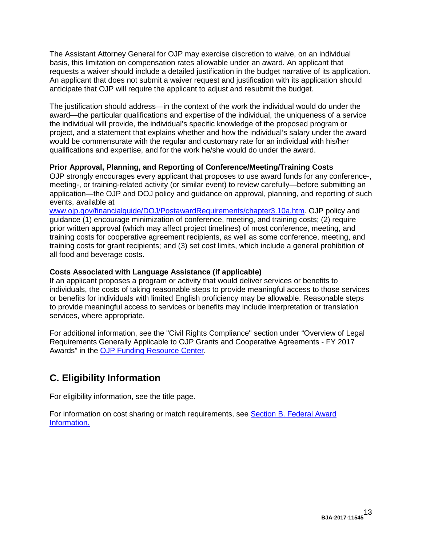The Assistant Attorney General for OJP may exercise discretion to waive, on an individual basis, this limitation on compensation rates allowable under an award. An applicant that requests a waiver should include a detailed justification in the budget narrative of its application. An applicant that does not submit a waiver request and justification with its application should anticipate that OJP will require the applicant to adjust and resubmit the budget.

The justification should address—in the context of the work the individual would do under the award—the particular qualifications and expertise of the individual, the uniqueness of a service the individual will provide, the individual's specific knowledge of the proposed program or project, and a statement that explains whether and how the individual's salary under the award would be commensurate with the regular and customary rate for an individual with his/her qualifications and expertise, and for the work he/she would do under the award.

#### <span id="page-12-0"></span>**Prior Approval, Planning, and Reporting of Conference/Meeting/Training Costs**

OJP strongly encourages every applicant that proposes to use award funds for any conference-, meeting-, or training-related activity (or similar event) to review carefully—before submitting an application—the OJP and DOJ policy and guidance on approval, planning, and reporting of such events, available at

[www.ojp.gov/financialguide/DOJ/PostawardRequirements/chapter3.10a.htm.](http://www.ojp.gov/financialguide/DOJ/PostawardRequirements/chapter3.10a.htm) OJP policy and guidance (1) encourage minimization of conference, meeting, and training costs; (2) require prior written approval (which may affect project timelines) of most conference, meeting, and training costs for cooperative agreement recipients, as well as some conference, meeting, and training costs for grant recipients; and (3) set cost limits, which include a general prohibition of all food and beverage costs.

#### <span id="page-12-1"></span>**Costs Associated with Language Assistance (if applicable)**

If an applicant proposes a program or activity that would deliver services or benefits to individuals, the costs of taking reasonable steps to provide meaningful access to those services or benefits for individuals with limited English proficiency may be allowable. Reasonable steps to provide meaningful access to services or benefits may include interpretation or translation services, where appropriate.

For additional information, see the "Civil Rights Compliance" section under "Overview of Legal Requirements Generally Applicable to OJP Grants and Cooperative Agreements - FY 2017 Awards" in the [OJP Funding Resource Center.](http://ojp.gov/funding/index.htm)

# <span id="page-12-2"></span>**C. Eligibility Information**

For eligibility information, see the title page.

For information on cost sharing or match requirements, see Section [B. Federal Award](#page-9-0)  [Information.](#page-9-0)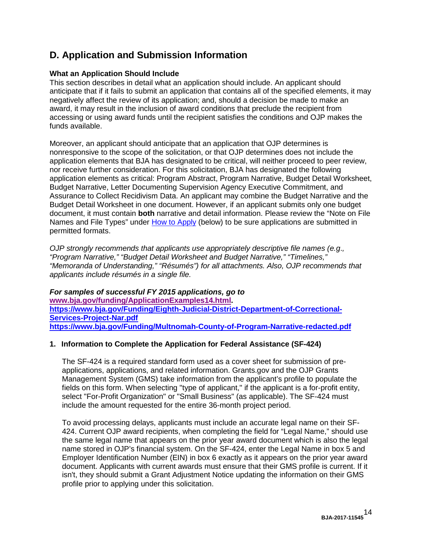# <span id="page-13-0"></span>**D. Application and Submission Information**

#### <span id="page-13-1"></span>**What an Application Should Include**

This section describes in detail what an application should include. An applicant should anticipate that if it fails to submit an application that contains all of the specified elements, it may negatively affect the review of its application; and, should a decision be made to make an award, it may result in the inclusion of award conditions that preclude the recipient from accessing or using award funds until the recipient satisfies the conditions and OJP makes the funds available.

Moreover, an applicant should anticipate that an application that OJP determines is nonresponsive to the scope of the solicitation, or that OJP determines does not include the application elements that BJA has designated to be critical, will neither proceed to peer review, nor receive further consideration. For this solicitation, BJA has designated the following application elements as critical: Program Abstract, Program Narrative, Budget Detail Worksheet, Budget Narrative, Letter Documenting Supervision Agency Executive Commitment, and Assurance to Collect Recidivism Data. An applicant may combine the Budget Narrative and the Budget Detail Worksheet in one document. However, if an applicant submits only one budget document, it must contain **both** narrative and detail information. Please review the "Note on File Names and File Types" under [How to Apply](#page-24-0) (below) to be sure applications are submitted in permitted formats.

*OJP strongly recommends that applicants use appropriately descriptive file names (e.g*.*, "Program Narrative," "Budget Detail Worksheet and Budget Narrative," "Timelines," "Memoranda of Understanding," "Résumés") for all attachments. Also, OJP recommends that applicants include résumés in a single file.*

*For samples of successful FY 2015 applications, go to*  **[www.bja.gov/funding/ApplicationExamples14.html.](http://www.bja.gov/funding/ApplicationExamples14.html) [https://www.bja.gov/Funding/Eighth-Judicial-District-Department-of-Correctional-](https://www.bja.gov/Funding/Eighth-Judicial-District-Department-of-Correctional-Services-Project-Nar.pdf)[Services-Project-Nar.pdf](https://www.bja.gov/Funding/Eighth-Judicial-District-Department-of-Correctional-Services-Project-Nar.pdf) <https://www.bja.gov/Funding/Multnomah-County-of-Program-Narrative-redacted.pdf>**

#### **1. Information to Complete the Application for Federal Assistance (SF-424)**

The SF-424 is a required standard form used as a cover sheet for submission of preapplications, applications, and related information. Grants.gov and the OJP Grants Management System (GMS) take information from the applicant's profile to populate the fields on this form. When selecting "type of applicant," if the applicant is a for-profit entity, select "For-Profit Organization" or "Small Business" (as applicable). The SF-424 must include the amount requested for the entire 36-month project period.

To avoid processing delays, applicants must include an accurate legal name on their SF-424. Current OJP award recipients, when completing the field for "Legal Name," should use the same legal name that appears on the prior year award document which is also the legal name stored in OJP's financial system. On the SF-424, enter the Legal Name in box 5 and Employer Identification Number (EIN) in box 6 exactly as it appears on the prior year award document. Applicants with current awards must ensure that their GMS profile is current. If it isn't, they should submit a Grant Adjustment Notice updating the information on their GMS profile prior to applying under this solicitation.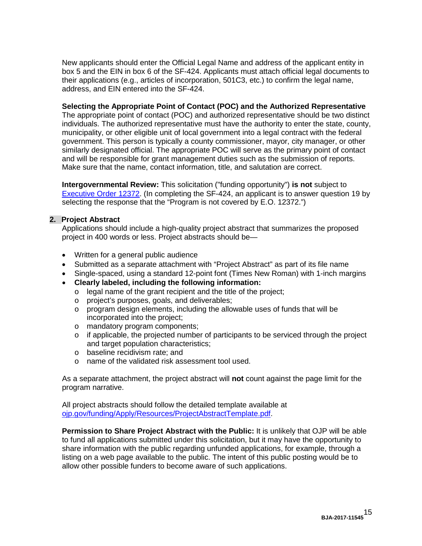New applicants should enter the Official Legal Name and address of the applicant entity in box 5 and the EIN in box 6 of the SF-424. Applicants must attach official legal documents to their applications (e.g., articles of incorporation, 501C3, etc.) to confirm the legal name, address, and EIN entered into the SF-424.

#### **Selecting the Appropriate Point of Contact (POC) and the Authorized Representative**

The appropriate point of contact (POC) and authorized representative should be two distinct individuals. The authorized representative must have the authority to enter the state, county, municipality, or other eligible unit of local government into a legal contract with the federal government. This person is typically a county commissioner, mayor, city manager, or other similarly designated official. The appropriate POC will serve as the primary point of contact and will be responsible for grant management duties such as the submission of reports. Make sure that the name, contact information, title, and salutation are correct.

**Intergovernmental Review:** This solicitation ("funding opportunity") **is not** subject to [Executive Order 12372.](http://www.archives.gov/federal-register/codification/executive-order/12372.html) (In completing the SF-424, an applicant is to answer question 19 by selecting the response that the "Program is not covered by E.O. 12372.")

#### **2. Project Abstract**

Applications should include a high-quality project abstract that summarizes the proposed project in 400 words or less. Project abstracts should be—

- Written for a general public audience
- Submitted as a separate attachment with "Project Abstract" as part of its file name
- Single-spaced, using a standard 12-point font (Times New Roman) with 1-inch margins
- **Clearly labeled, including the following information:**
	- o legal name of the grant recipient and the title of the project;
	- o project's purposes, goals, and deliverables;
	- $\circ$  program design elements, including the allowable uses of funds that will be incorporated into the project;
	- o mandatory program components;
	- $\circ$  if applicable, the projected number of participants to be serviced through the project and target population characteristics:
	- o baseline recidivism rate; and
	- o name of the validated risk assessment tool used.

As a separate attachment, the project abstract will **not** count against the page limit for the program narrative.

All project abstracts should follow the detailed template available at [ojp.gov/funding/Apply/Resources/ProjectAbstractTemplate.pdf.](http://ojp.gov/funding/Apply/Resources/ProjectAbstractTemplate.pdf)

**Permission to Share Project Abstract with the Public:** It is unlikely that OJP will be able to fund all applications submitted under this solicitation, but it may have the opportunity to share information with the public regarding unfunded applications, for example, through a listing on a web page available to the public. The intent of this public posting would be to allow other possible funders to become aware of such applications.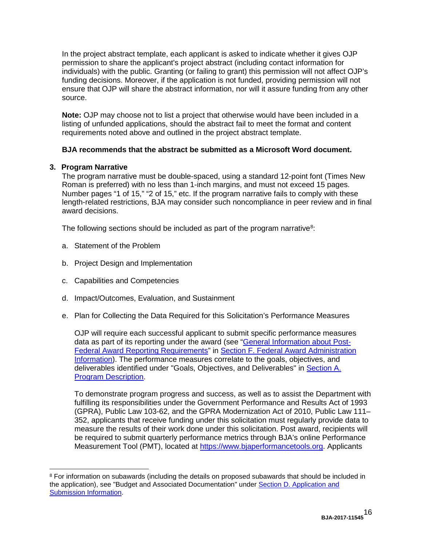In the project abstract template, each applicant is asked to indicate whether it gives OJP permission to share the applicant's project abstract (including contact information for individuals) with the public. Granting (or failing to grant) this permission will not affect OJP's funding decisions. Moreover, if the application is not funded, providing permission will not ensure that OJP will share the abstract information, nor will it assure funding from any other source.

**Note:** OJP may choose not to list a project that otherwise would have been included in a listing of unfunded applications, should the abstract fail to meet the format and content requirements noted above and outlined in the project abstract template.

#### **BJA recommends that the abstract be submitted as a Microsoft Word document.**

#### **3. Program Narrative**

The program narrative must be double-spaced, using a standard 12-point font (Times New Roman is preferred) with no less than 1-inch margins, and must not exceed 15 pages. Number pages "1 of 15," "2 of 15," etc. If the program narrative fails to comply with these length-related restrictions, BJA may consider such noncompliance in peer review and in final award decisions.

The following sections should be included as part of the program narrative $^8$  $^8$ :

- a. Statement of the Problem
- b. Project Design and Implementation
- c. Capabilities and Competencies
- d. Impact/Outcomes, Evaluation, and Sustainment
- e. Plan for Collecting the Data Required for this Solicitation's Performance Measures

OJP will require each successful applicant to submit specific performance measures data as part of its reporting under the award (see ["General Information about Post-](#page-32-3)[Federal Award Reporting Requirements"](#page-32-3) in [Section F. Federal Award Administration](#page-32-0)  [Information\)](#page-32-0). The performance measures correlate to the goals, objectives, and deliverables identified under "Goals, Objectives, and Deliverables" in [Section A.](#page-3-0)  [Program Description.](#page-3-0)

To demonstrate program progress and success, as well as to assist the Department with fulfilling its responsibilities under the Government Performance and Results Act of 1993 (GPRA), Public Law 103-62, and the GPRA Modernization Act of 2010, Public Law 111– 352, applicants that receive funding under this solicitation must regularly provide data to measure the results of their work done under this solicitation. Post award, recipients will be required to submit quarterly performance metrics through BJA's online Performance Measurement Tool (PMT), located at [https://www.bjaperformancetools.org.](https://www.bjaperformancetools.org/) Applicants

<span id="page-15-0"></span><sup>&</sup>lt;sup>8</sup> For information on subawards (including the details on proposed subawards that should be included in the application), see "Budget and Associated Documentation" under [Section D. Application and](#page-13-0)  [Submission Information.](#page-13-0)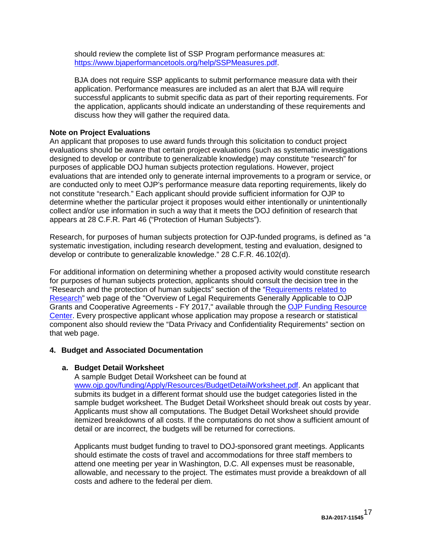should review the complete list of SSP Program performance measures at: [https://www.bjaperformancetools.org/help/SSPMeasures.pdf.](https://www.bjaperformancetools.org/help/SSPMeasures.pdf)

BJA does not require SSP applicants to submit performance measure data with their application. Performance measures are included as an alert that BJA will require successful applicants to submit specific data as part of their reporting requirements. For the application, applicants should indicate an understanding of these requirements and discuss how they will gather the required data.

#### **Note on Project Evaluations**

An applicant that proposes to use award funds through this solicitation to conduct project evaluations should be aware that certain project evaluations (such as systematic investigations designed to develop or contribute to generalizable knowledge) may constitute "research" for purposes of applicable DOJ human subjects protection regulations. However, project evaluations that are intended only to generate internal improvements to a program or service, or are conducted only to meet OJP's performance measure data reporting requirements, likely do not constitute "research." Each applicant should provide sufficient information for OJP to determine whether the particular project it proposes would either intentionally or unintentionally collect and/or use information in such a way that it meets the DOJ definition of research that appears at 28 C.F.R. Part 46 ("Protection of Human Subjects").

Research, for purposes of human subjects protection for OJP-funded programs, is defined as "a systematic investigation, including research development, testing and evaluation, designed to develop or contribute to generalizable knowledge." 28 C.F.R. 46.102(d).

For additional information on determining whether a proposed activity would constitute research for purposes of human subjects protection, applicants should consult the decision tree in the "Research and the protection of human subjects" section of the ["Requirements related to](http://ojp.gov/funding/Explore/SolicitationRequirements/EvidenceResearchEvaluationRequirements.htm)  [Research"](http://ojp.gov/funding/Explore/SolicitationRequirements/EvidenceResearchEvaluationRequirements.htm) web page of the "Overview of Legal Requirements Generally Applicable to OJP Grants and Cooperative Agreements - FY 2017," available through the [OJP Funding Resource](http://ojp.gov/funding/index.htm)  [Center.](http://ojp.gov/funding/index.htm) Every prospective applicant whose application may propose a research or statistical component also should review the "Data Privacy and Confidentiality Requirements" section on that web page.

#### **4. Budget and Associated Documentation**

#### **a. Budget Detail Worksheet**

A sample Budget Detail Worksheet can be found at [www.ojp.gov/funding/Apply/Resources/BudgetDetailWorksheet.pdf.](http://ojp.gov/funding/Apply/Resources/BudgetDetailWorksheet.pdf) An applicant that submits its budget in a different format should use the budget categories listed in the sample budget worksheet. The Budget Detail Worksheet should break out costs by year. Applicants must show all computations. The Budget Detail Worksheet should provide itemized breakdowns of all costs. If the computations do not show a sufficient amount of detail or are incorrect, the budgets will be returned for corrections.

Applicants must budget funding to travel to DOJ-sponsored grant meetings. Applicants should estimate the costs of travel and accommodations for three staff members to attend one meeting per year in Washington, D.C. All expenses must be reasonable, allowable, and necessary to the project. The estimates must provide a breakdown of all costs and adhere to the federal per diem.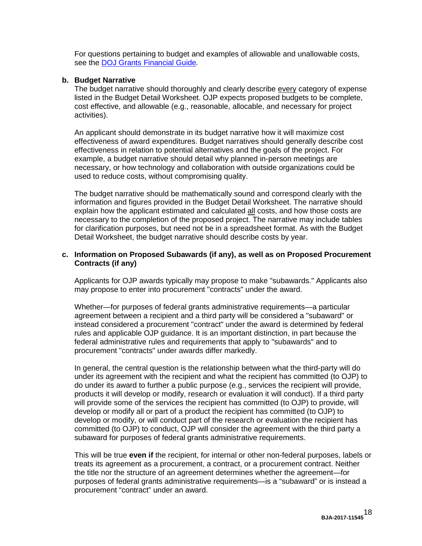For questions pertaining to budget and examples of allowable and unallowable costs, see the [DOJ Grants Financial Guide](http://ojp.gov/financialguide/DOJ/index.htm)*.*

#### **b. Budget Narrative**

The budget narrative should thoroughly and clearly describe every category of expense listed in the Budget Detail Worksheet. OJP expects proposed budgets to be complete, cost effective, and allowable (e.g., reasonable, allocable, and necessary for project activities).

An applicant should demonstrate in its budget narrative how it will maximize cost effectiveness of award expenditures. Budget narratives should generally describe cost effectiveness in relation to potential alternatives and the goals of the project. For example, a budget narrative should detail why planned in-person meetings are necessary, or how technology and collaboration with outside organizations could be used to reduce costs, without compromising quality.

The budget narrative should be mathematically sound and correspond clearly with the information and figures provided in the Budget Detail Worksheet. The narrative should explain how the applicant estimated and calculated all costs, and how those costs are necessary to the completion of the proposed project. The narrative may include tables for clarification purposes, but need not be in a spreadsheet format. As with the Budget Detail Worksheet, the budget narrative should describe costs by year.

#### **c. Information on Proposed Subawards (if any), as well as on Proposed Procurement Contracts (if any)**

Applicants for OJP awards typically may propose to make "subawards." Applicants also may propose to enter into procurement "contracts" under the award.

Whether—for purposes of federal grants administrative requirements—a particular agreement between a recipient and a third party will be considered a "subaward" or instead considered a procurement "contract" under the award is determined by federal rules and applicable OJP guidance. It is an important distinction, in part because the federal administrative rules and requirements that apply to "subawards" and to procurement "contracts" under awards differ markedly.

In general, the central question is the relationship between what the third-party will do under its agreement with the recipient and what the recipient has committed (to OJP) to do under its award to further a public purpose (e.g., services the recipient will provide, products it will develop or modify, research or evaluation it will conduct). If a third party will provide some of the services the recipient has committed (to OJP) to provide, will develop or modify all or part of a product the recipient has committed (to OJP) to develop or modify, or will conduct part of the research or evaluation the recipient has committed (to OJP) to conduct, OJP will consider the agreement with the third party a subaward for purposes of federal grants administrative requirements.

This will be true **even if** the recipient, for internal or other non-federal purposes, labels or treats its agreement as a procurement, a contract, or a procurement contract. Neither the title nor the structure of an agreement determines whether the agreement—for purposes of federal grants administrative requirements—is a "subaward" or is instead a procurement "contract" under an award.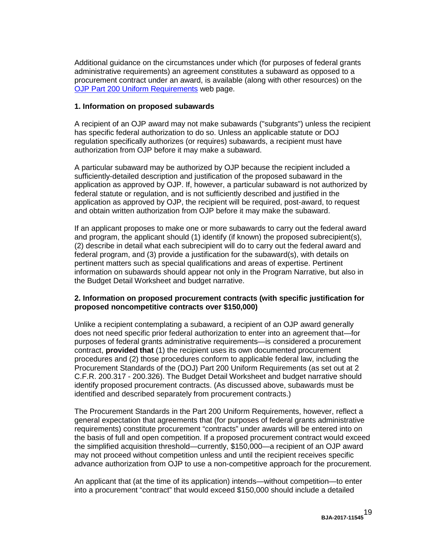Additional guidance on the circumstances under which (for purposes of federal grants administrative requirements) an agreement constitutes a subaward as opposed to a procurement contract under an award, is available (along with other resources) on the [OJP Part 200 Uniform](http://ojp.gov/funding/Part200UniformRequirements.htm) Requirements web page.

#### **1. Information on proposed subawards**

A recipient of an OJP award may not make subawards ("subgrants") unless the recipient has specific federal authorization to do so. Unless an applicable statute or DOJ regulation specifically authorizes (or requires) subawards, a recipient must have authorization from OJP before it may make a subaward.

A particular subaward may be authorized by OJP because the recipient included a sufficiently-detailed description and justification of the proposed subaward in the application as approved by OJP. If, however, a particular subaward is not authorized by federal statute or regulation, and is not sufficiently described and justified in the application as approved by OJP, the recipient will be required, post-award, to request and obtain written authorization from OJP before it may make the subaward.

If an applicant proposes to make one or more subawards to carry out the federal award and program, the applicant should (1) identify (if known) the proposed subrecipient(s), (2) describe in detail what each subrecipient will do to carry out the federal award and federal program, and (3) provide a justification for the subaward(s), with details on pertinent matters such as special qualifications and areas of expertise. Pertinent information on subawards should appear not only in the Program Narrative, but also in the Budget Detail Worksheet and budget narrative.

#### **2. Information on proposed procurement contracts (with specific justification for proposed noncompetitive contracts over \$150,000)**

Unlike a recipient contemplating a subaward, a recipient of an OJP award generally does not need specific prior federal authorization to enter into an agreement that—for purposes of federal grants administrative requirements—is considered a procurement contract, **provided that** (1) the recipient uses its own documented procurement procedures and (2) those procedures conform to applicable federal law, including the Procurement Standards of the (DOJ) Part 200 Uniform Requirements (as set out at 2 C.F.R. 200.317 - 200.326). The Budget Detail Worksheet and budget narrative should identify proposed procurement contracts. (As discussed above, subawards must be identified and described separately from procurement contracts.)

The Procurement Standards in the Part 200 Uniform Requirements, however, reflect a general expectation that agreements that (for purposes of federal grants administrative requirements) constitute procurement "contracts" under awards will be entered into on the basis of full and open competition. If a proposed procurement contract would exceed the simplified acquisition threshold—currently, \$150,000—a recipient of an OJP award may not proceed without competition unless and until the recipient receives specific advance authorization from OJP to use a non-competitive approach for the procurement.

An applicant that (at the time of its application) intends—without competition—to enter into a procurement "contract" that would exceed \$150,000 should include a detailed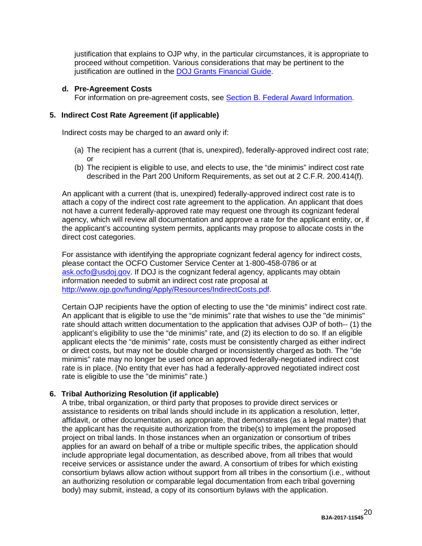justification that explains to OJP why, in the particular circumstances, it is appropriate to proceed without competition. Various considerations that may be pertinent to the justification are outlined in the **DOJ Grants Financial Guide**.

#### **d. Pre-Agreement Costs**

For information on pre-agreement costs, see [Section B. Federal Award Information.](#page-9-0)

#### **5. Indirect Cost Rate Agreement (if applicable)**

Indirect costs may be charged to an award only if:

- (a) The recipient has a current (that is, unexpired), federally-approved indirect cost rate; or
- (b) The recipient is eligible to use, and elects to use, the "de minimis" indirect cost rate described in the Part 200 Uniform Requirements, as set out at 2 C.F.R. 200.414(f).

An applicant with a current (that is, unexpired) federally-approved indirect cost rate is to attach a copy of the indirect cost rate agreement to the application. An applicant that does not have a current federally-approved rate may request one through its cognizant federal agency, which will review all documentation and approve a rate for the applicant entity, or, if the applicant's accounting system permits, applicants may propose to allocate costs in the direct cost categories.

For assistance with identifying the appropriate cognizant federal agency for indirect costs, please contact the OCFO Customer Service Center at 1-800-458-0786 or at [ask.ocfo@usdoj.gov.](mailto:ask.ocfo@usdoj.gov) If DOJ is the cognizant federal agency, applicants may obtain information needed to submit an indirect cost rate proposal at [http://www.ojp.gov/funding/Apply/Resources/IndirectCosts.pdf.](http://www.ojp.gov/funding/Apply/Resources/IndirectCosts.pdf)

Certain OJP recipients have the option of electing to use the "de minimis" indirect cost rate. An applicant that is eligible to use the "de minimis" rate that wishes to use the "de minimis" rate should attach written documentation to the application that advises OJP of both-- (1) the applicant's eligibility to use the "de minimis" rate, and (2) its election to do so. If an eligible applicant elects the "de minimis" rate, costs must be consistently charged as either indirect or direct costs, but may not be double charged or inconsistently charged as both. The "de minimis" rate may no longer be used once an approved federally-negotiated indirect cost rate is in place. (No entity that ever has had a federally-approved negotiated indirect cost rate is eligible to use the "de minimis" rate.)

#### **6. Tribal Authorizing Resolution (if applicable)**

A tribe, tribal organization, or third party that proposes to provide direct services or assistance to residents on tribal lands should include in its application a resolution, letter, affidavit, or other documentation, as appropriate, that demonstrates (as a legal matter) that the applicant has the requisite authorization from the tribe(s) to implement the proposed project on tribal lands. In those instances when an organization or consortium of tribes applies for an award on behalf of a tribe or multiple specific tribes, the application should include appropriate legal documentation, as described above, from all tribes that would receive services or assistance under the award. A consortium of tribes for which existing consortium bylaws allow action without support from all tribes in the consortium (i.e., without an authorizing resolution or comparable legal documentation from each tribal governing body) may submit, instead, a copy of its consortium bylaws with the application.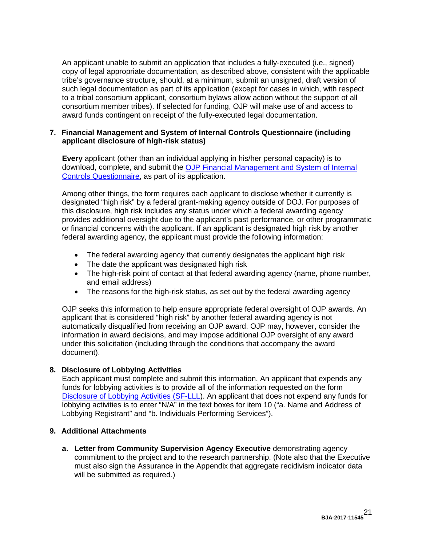An applicant unable to submit an application that includes a fully-executed (i.e., signed) copy of legal appropriate documentation, as described above, consistent with the applicable tribe's governance structure, should, at a minimum, submit an unsigned, draft version of such legal documentation as part of its application (except for cases in which, with respect to a tribal consortium applicant, consortium bylaws allow action without the support of all consortium member tribes). If selected for funding, OJP will make use of and access to award funds contingent on receipt of the fully-executed legal documentation.

#### **7. Financial Management and System of Internal Controls Questionnaire (including applicant disclosure of high-risk status)**

**Every** applicant (other than an individual applying in his/her personal capacity) is to download, complete, and submit the OJP Financial Management and System of Internal [Controls Questionnaire,](http://ojp.gov/funding/Apply/Resources/FinancialCapability.pdf) as part of its application.

Among other things, the form requires each applicant to disclose whether it currently is designated "high risk" by a federal grant-making agency outside of DOJ. For purposes of this disclosure, high risk includes any status under which a federal awarding agency provides additional oversight due to the applicant's past performance, or other programmatic or financial concerns with the applicant. If an applicant is designated high risk by another federal awarding agency, the applicant must provide the following information:

- The federal awarding agency that currently designates the applicant high risk
- The date the applicant was designated high risk
- The high-risk point of contact at that federal awarding agency (name, phone number, and email address)
- The reasons for the high-risk status, as set out by the federal awarding agency

OJP seeks this information to help ensure appropriate federal oversight of OJP awards. An applicant that is considered "high risk" by another federal awarding agency is not automatically disqualified from receiving an OJP award. OJP may, however, consider the information in award decisions, and may impose additional OJP oversight of any award under this solicitation (including through the conditions that accompany the award document).

#### **8. Disclosure of Lobbying Activities**

Each applicant must complete and submit this information. An applicant that expends any funds for lobbying activities is to provide all of the information requested on the form [Disclosure of Lobbying Activities \(SF-LLL\)](http://ojp.gov/funding/Apply/Resources/Disclosure.pdf). An applicant that does not expend any funds for lobbying activities is to enter "N/A" in the text boxes for item 10 ("a. Name and Address of Lobbying Registrant" and "b. Individuals Performing Services").

#### **9. Additional Attachments**

**a. Letter from Community Supervision Agency Executive** demonstrating agency commitment to the project and to the research partnership. (Note also that the Executive must also sign the Assurance in the Appendix that aggregate recidivism indicator data will be submitted as required.)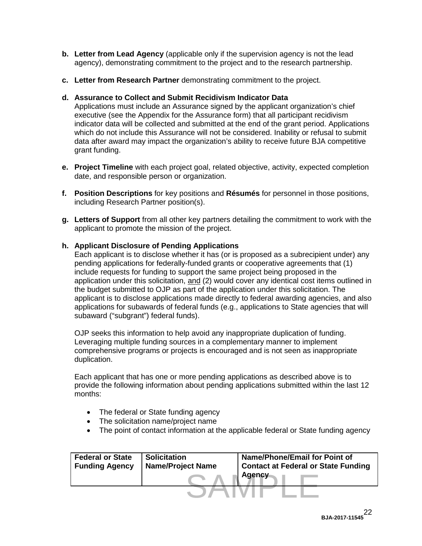- **b. Letter from Lead Agency** (applicable only if the supervision agency is not the lead agency), demonstrating commitment to the project and to the research partnership.
- **c. Letter from Research Partner** demonstrating commitment to the project.

#### **d. Assurance to Collect and Submit Recidivism Indicator Data**

Applications must include an Assurance signed by the applicant organization's chief executive (see the Appendix for the Assurance form) that all participant recidivism indicator data will be collected and submitted at the end of the grant period. Applications which do not include this Assurance will not be considered. Inability or refusal to submit data after award may impact the organization's ability to receive future BJA competitive grant funding.

- **e. Project Timeline** with each project goal, related objective, activity, expected completion date, and responsible person or organization.
- **f. Position Descriptions** for key positions and **Résumés** for personnel in those positions, including Research Partner position(s).
- **g. Letters of Support** from all other key partners detailing the commitment to work with the applicant to promote the mission of the project.

#### **h. Applicant Disclosure of Pending Applications**

Each applicant is to disclose whether it has (or is proposed as a subrecipient under) any pending applications for federally-funded grants or cooperative agreements that (1) include requests for funding to support the same project being proposed in the application under this solicitation, and (2) would cover any identical cost items outlined in the budget submitted to OJP as part of the application under this solicitation. The applicant is to disclose applications made directly to federal awarding agencies, and also applications for subawards of federal funds (e.g., applications to State agencies that will subaward ("subgrant") federal funds).

OJP seeks this information to help avoid any inappropriate duplication of funding. Leveraging multiple funding sources in a complementary manner to implement comprehensive programs or projects is encouraged and is not seen as inappropriate duplication.

Each applicant that has one or more pending applications as described above is to provide the following information about pending applications submitted within the last 12 months:

- The federal or State funding agency
- The solicitation name/project name
- The point of contact information at the applicable federal or State funding agency

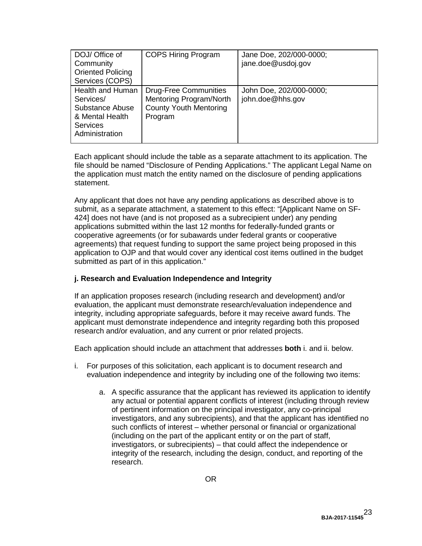| DOJ/ Office of<br>Community<br><b>Oriented Policing</b><br>Services (COPS)                               | <b>COPS Hiring Program</b>                                                                          | Jane Doe, 202/000-0000;<br>jane.doe@usdoj.gov |
|----------------------------------------------------------------------------------------------------------|-----------------------------------------------------------------------------------------------------|-----------------------------------------------|
| Health and Human<br>Services/<br>Substance Abuse<br>& Mental Health<br><b>Services</b><br>Administration | <b>Drug-Free Communities</b><br>Mentoring Program/North<br><b>County Youth Mentoring</b><br>Program | John Doe, 202/000-0000;<br>john.doe@hhs.gov   |

Each applicant should include the table as a separate attachment to its application. The file should be named "Disclosure of Pending Applications." The applicant Legal Name on the application must match the entity named on the disclosure of pending applications statement.

Any applicant that does not have any pending applications as described above is to submit, as a separate attachment, a statement to this effect: "[Applicant Name on SF-424] does not have (and is not proposed as a subrecipient under) any pending applications submitted within the last 12 months for federally-funded grants or cooperative agreements (or for subawards under federal grants or cooperative agreements) that request funding to support the same project being proposed in this application to OJP and that would cover any identical cost items outlined in the budget submitted as part of in this application."

#### **j. Research and Evaluation Independence and Integrity**

If an application proposes research (including research and development) and/or evaluation, the applicant must demonstrate research/evaluation independence and integrity, including appropriate safeguards, before it may receive award funds. The applicant must demonstrate independence and integrity regarding both this proposed research and/or evaluation, and any current or prior related projects.

Each application should include an attachment that addresses **both** i. and ii. below.

- i. For purposes of this solicitation, each applicant is to document research and evaluation independence and integrity by including one of the following two items:
	- a. A specific assurance that the applicant has reviewed its application to identify any actual or potential apparent conflicts of interest (including through review of pertinent information on the principal investigator, any co-principal investigators, and any subrecipients), and that the applicant has identified no such conflicts of interest – whether personal or financial or organizational (including on the part of the applicant entity or on the part of staff, investigators, or subrecipients) – that could affect the independence or integrity of the research, including the design, conduct, and reporting of the research.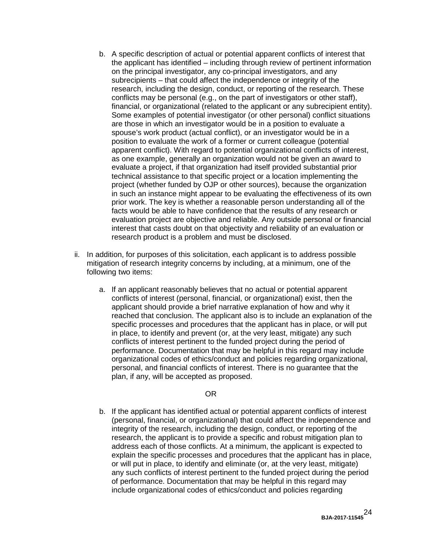- b. A specific description of actual or potential apparent conflicts of interest that the applicant has identified – including through review of pertinent information on the principal investigator, any co-principal investigators, and any subrecipients – that could affect the independence or integrity of the research, including the design, conduct, or reporting of the research. These conflicts may be personal (e.g., on the part of investigators or other staff), financial, or organizational (related to the applicant or any subrecipient entity). Some examples of potential investigator (or other personal) conflict situations are those in which an investigator would be in a position to evaluate a spouse's work product (actual conflict), or an investigator would be in a position to evaluate the work of a former or current colleague (potential apparent conflict). With regard to potential organizational conflicts of interest, as one example, generally an organization would not be given an award to evaluate a project, if that organization had itself provided substantial prior technical assistance to that specific project or a location implementing the project (whether funded by OJP or other sources), because the organization in such an instance might appear to be evaluating the effectiveness of its own prior work. The key is whether a reasonable person understanding all of the facts would be able to have confidence that the results of any research or evaluation project are objective and reliable. Any outside personal or financial interest that casts doubt on that objectivity and reliability of an evaluation or research product is a problem and must be disclosed.
- ii. In addition, for purposes of this solicitation, each applicant is to address possible mitigation of research integrity concerns by including, at a minimum, one of the following two items:
	- a. If an applicant reasonably believes that no actual or potential apparent conflicts of interest (personal, financial, or organizational) exist, then the applicant should provide a brief narrative explanation of how and why it reached that conclusion. The applicant also is to include an explanation of the specific processes and procedures that the applicant has in place, or will put in place, to identify and prevent (or, at the very least, mitigate) any such conflicts of interest pertinent to the funded project during the period of performance. Documentation that may be helpful in this regard may include organizational codes of ethics/conduct and policies regarding organizational, personal, and financial conflicts of interest. There is no guarantee that the plan, if any, will be accepted as proposed.

#### OR

b. If the applicant has identified actual or potential apparent conflicts of interest (personal, financial, or organizational) that could affect the independence and integrity of the research, including the design, conduct, or reporting of the research, the applicant is to provide a specific and robust mitigation plan to address each of those conflicts. At a minimum, the applicant is expected to explain the specific processes and procedures that the applicant has in place, or will put in place, to identify and eliminate (or, at the very least, mitigate) any such conflicts of interest pertinent to the funded project during the period of performance. Documentation that may be helpful in this regard may include organizational codes of ethics/conduct and policies regarding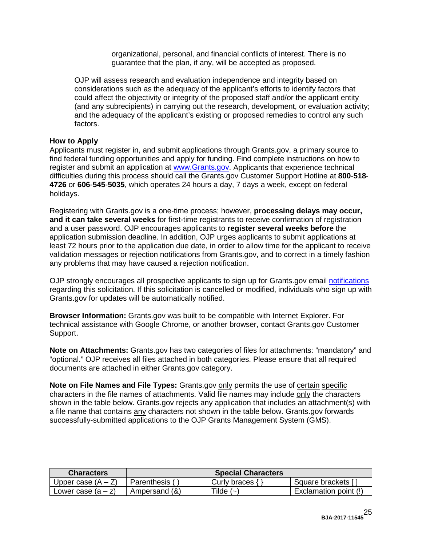organizational, personal, and financial conflicts of interest. There is no guarantee that the plan, if any, will be accepted as proposed.

OJP will assess research and evaluation independence and integrity based on considerations such as the adequacy of the applicant's efforts to identify factors that could affect the objectivity or integrity of the proposed staff and/or the applicant entity (and any subrecipients) in carrying out the research, development, or evaluation activity; and the adequacy of the applicant's existing or proposed remedies to control any such factors.

#### <span id="page-24-0"></span>**How to Apply**

Applicants must register in, and submit applications through Grants.gov, a primary source to find federal funding opportunities and apply for funding. Find complete instructions on how to register and submit an application at [www.Grants.gov.](http://www.grants.gov/) Applicants that experience technical difficulties during this process should call the Grants.gov Customer Support Hotline at **800**-**518**- **4726** or **606**-**545**-**5035**, which operates 24 hours a day, 7 days a week, except on federal holidays.

Registering with Grants.gov is a one-time process; however, **processing delays may occur, and it can take several weeks** for first-time registrants to receive confirmation of registration and a user password. OJP encourages applicants to **register several weeks before** the application submission deadline. In addition, OJP urges applicants to submit applications at least 72 hours prior to the application due date, in order to allow time for the applicant to receive validation messages or rejection notifications from Grants.gov, and to correct in a timely fashion any problems that may have caused a rejection notification.

OJP strongly encourages all prospective applicants to sign up for Grants.gov email [notifications](http://www.grants.gov/web/grants/manage-subscriptions.html) regarding this solicitation. If this solicitation is cancelled or modified, individuals who sign up with Grants.gov for updates will be automatically notified.

**Browser Information:** Grants.gov was built to be compatible with Internet Explorer. For technical assistance with Google Chrome, or another browser, contact Grants.gov Customer Support.

**Note on Attachments:** Grants.gov has two categories of files for attachments: "mandatory" and "optional." OJP receives all files attached in both categories. Please ensure that all required documents are attached in either Grants.gov category.

**Note on File Names and File Types:** Grants.gov only permits the use of certain specific characters in the file names of attachments. Valid file names may include only the characters shown in the table below. Grants.gov rejects any application that includes an attachment(s) with a file name that contains any characters not shown in the table below. Grants.gov forwards successfully-submitted applications to the OJP Grants Management System (GMS).

| <b>Characters</b>    | <b>Special Characters</b> |                                                                                            |                       |  |
|----------------------|---------------------------|--------------------------------------------------------------------------------------------|-----------------------|--|
| Upper case $(A - Z)$ | Parenthesis,              | Curly braces $\{$                                                                          | Square brackets [     |  |
| Lower case $(a - z)$ | Ampersand (&)             | $\mathsf{{}^T \mathsf{i} \mathsf{l} \mathsf{d} \mathsf{e} } \left( \mathord{\sim} \right)$ | Exclamation point (!) |  |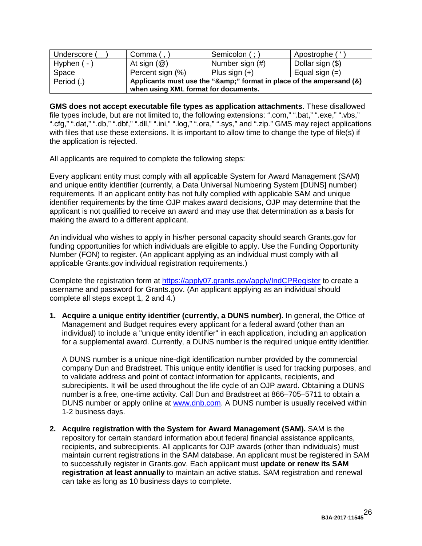| Underscore ( | Comma (,                                                                                                 | Semicolon (;)   | Apostrophe (     |  |
|--------------|----------------------------------------------------------------------------------------------------------|-----------------|------------------|--|
| Hyphen $(-)$ | At sign $(\mathcal{Q})$                                                                                  | Number sign (#) | Dollar sign (\$) |  |
| Space        | Percent sign (%)                                                                                         | Plus sign $(+)$ | Equal sign $(=)$ |  |
| Period (.)   | Applicants must use the "&" format in place of the ampersand (&)<br>when using XML format for documents. |                 |                  |  |
|              |                                                                                                          |                 |                  |  |

**GMS does not accept executable file types as application attachments**. These disallowed file types include, but are not limited to, the following extensions: ".com," ".bat," ".exe," ".vbs," ".cfg," ".dat," ".db," ".dbf," ".dll," ".ini," ".log," ".ora," ".sys," and ".zip." GMS may reject applications with files that use these extensions. It is important to allow time to change the type of file(s) if the application is rejected.

All applicants are required to complete the following steps:

Every applicant entity must comply with all applicable System for Award Management (SAM) and unique entity identifier (currently, a Data Universal Numbering System [DUNS] number) requirements. If an applicant entity has not fully complied with applicable SAM and unique identifier requirements by the time OJP makes award decisions, OJP may determine that the applicant is not qualified to receive an award and may use that determination as a basis for making the award to a different applicant.

An individual who wishes to apply in his/her personal capacity should search Grants.gov for funding opportunities for which individuals are eligible to apply. Use the Funding Opportunity Number (FON) to register. (An applicant applying as an individual must comply with all applicable Grants.gov individual registration requirements.)

Complete the registration form at<https://apply07.grants.gov/apply/IndCPRegister> to create a username and password for Grants.gov. (An applicant applying as an individual should complete all steps except 1, 2 and 4.)

**1. Acquire a unique entity identifier (currently, a DUNS number).** In general, the Office of Management and Budget requires every applicant for a federal award (other than an individual) to include a "unique entity identifier" in each application, including an application for a supplemental award. Currently, a DUNS number is the required unique entity identifier.

A DUNS number is a unique nine-digit identification number provided by the commercial company Dun and Bradstreet. This unique entity identifier is used for tracking purposes, and to validate address and point of contact information for applicants, recipients, and subrecipients. It will be used throughout the life cycle of an OJP award. Obtaining a DUNS number is a free, one-time activity. Call Dun and Bradstreet at 866–705–5711 to obtain a DUNS number or apply online at [www.dnb.com.](http://www.dnb.com/) A DUNS number is usually received within 1-2 business days.

**2. Acquire registration with the System for Award Management (SAM).** SAM is the repository for certain standard information about federal financial assistance applicants, recipients, and subrecipients. All applicants for OJP awards (other than individuals) must maintain current registrations in the SAM database. An applicant must be registered in SAM to successfully register in Grants.gov. Each applicant must **update or renew its SAM registration at least annually** to maintain an active status. SAM registration and renewal can take as long as 10 business days to complete.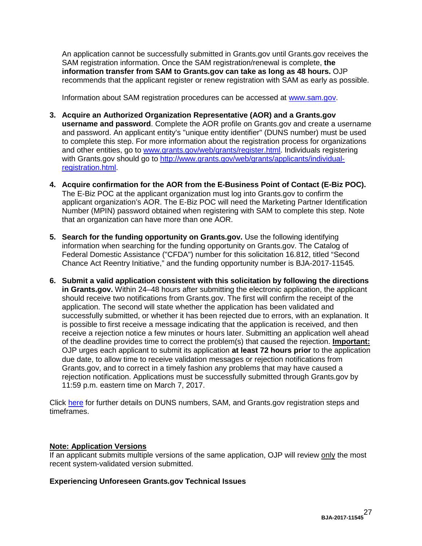An application cannot be successfully submitted in Grants.gov until Grants.gov receives the SAM registration information. Once the SAM registration/renewal is complete, **the information transfer from SAM to Grants.gov can take as long as 48 hours.** OJP recommends that the applicant register or renew registration with SAM as early as possible.

Information about SAM registration procedures can be accessed at [www.sam.gov.](https://www.sam.gov/portal/SAM/#1)

- **3. Acquire an Authorized Organization Representative (AOR) and a Grants.gov username and password**. Complete the AOR profile on Grants.gov and create a username and password. An applicant entity's "unique entity identifier" (DUNS number) must be used to complete this step. For more information about the registration process for organizations and other entities, go to [www.grants.gov/web/grants/register.html.](http://www.grants.gov/web/grants/register.html) Individuals registering with Grants.gov should go to [http://www.grants.gov/web/grants/applicants/individual](http://www.grants.gov/web/grants/applicants/individual-registration.html)[registration.html.](http://www.grants.gov/web/grants/applicants/individual-registration.html)
- **4. Acquire confirmation for the AOR from the E-Business Point of Contact (E-Biz POC).**  The E-Biz POC at the applicant organization must log into Grants.gov to confirm the applicant organization's AOR. The E-Biz POC will need the Marketing Partner Identification Number (MPIN) password obtained when registering with SAM to complete this step. Note that an organization can have more than one AOR.
- **5. Search for the funding opportunity on Grants.gov.** Use the following identifying information when searching for the funding opportunity on Grants.gov. The Catalog of Federal Domestic Assistance ("CFDA") number for this solicitation 16.812, titled "Second Chance Act Reentry Initiative," and the funding opportunity number is BJA-2017-11545*.*
- **6. Submit a valid application consistent with this solicitation by following the directions in Grants.gov.** Within 24–48 hours after submitting the electronic application, the applicant should receive two notifications from Grants.gov. The first will confirm the receipt of the application. The second will state whether the application has been validated and successfully submitted, or whether it has been rejected due to errors, with an explanation. It is possible to first receive a message indicating that the application is received, and then receive a rejection notice a few minutes or hours later. Submitting an application well ahead of the deadline provides time to correct the problem(s) that caused the rejection. **Important:** OJP urges each applicant to submit its application **at least 72 hours prior** to the application due date, to allow time to receive validation messages or rejection notifications from Grants.gov, and to correct in a timely fashion any problems that may have caused a rejection notification. Applications must be successfully submitted through Grants.gov by 11:59 p.m. eastern time on March 7, 2017.

Click [here](http://www.grants.gov/web/grants/applicants/organization-registration.html) for further details on DUNS numbers, SAM, and Grants.gov registration steps and timeframes.

#### **Note: Application Versions**

If an applicant submits multiple versions of the same application, OJP will review only the most recent system-validated version submitted.

#### **Experiencing Unforeseen Grants.gov Technical Issues**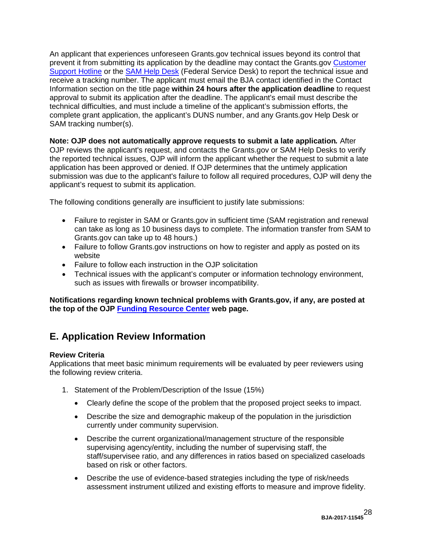An applicant that experiences unforeseen Grants.gov technical issues beyond its control that prevent it from submitting its application by the deadline may contact the Grants.gov [Customer](http://www.grants.gov/web/grants/about/contact-us.html)  [Support Hotline](http://www.grants.gov/web/grants/about/contact-us.html) or the [SAM Help Desk](https://www.fsd.gov/fsd-gov/home.do) (Federal Service Desk) to report the technical issue and receive a tracking number. The applicant must email the BJA contact identified in the Contact Information section on the title page **within 24 hours after the application deadline** to request approval to submit its application after the deadline. The applicant's email must describe the technical difficulties, and must include a timeline of the applicant's submission efforts, the complete grant application, the applicant's DUNS number, and any Grants.gov Help Desk or SAM tracking number(s).

**Note: OJP does not automatically approve requests to submit a late application***.* After OJP reviews the applicant's request, and contacts the Grants.gov or SAM Help Desks to verify the reported technical issues, OJP will inform the applicant whether the request to submit a late application has been approved or denied. If OJP determines that the untimely application submission was due to the applicant's failure to follow all required procedures, OJP will deny the applicant's request to submit its application.

The following conditions generally are insufficient to justify late submissions:

- Failure to register in SAM or Grants.gov in sufficient time (SAM registration and renewal can take as long as 10 business days to complete. The information transfer from SAM to Grants.gov can take up to 48 hours.)
- Failure to follow Grants.gov instructions on how to register and apply as posted on its website
- Failure to follow each instruction in the OJP solicitation
- Technical issues with the applicant's computer or information technology environment, such as issues with firewalls or browser incompatibility.

**Notifications regarding known technical problems with Grants.gov, if any, are posted at the top of the OJP [Funding Resource Center](http://ojp.gov/funding/index.htm) web page.**

# <span id="page-27-0"></span>**E. Application Review Information**

#### <span id="page-27-1"></span>**Review Criteria**

Applications that meet basic minimum requirements will be evaluated by peer reviewers using the following review criteria.

- 1. Statement of the Problem/Description of the Issue (15%)
	- Clearly define the scope of the problem that the proposed project seeks to impact.
	- Describe the size and demographic makeup of the population in the jurisdiction currently under community supervision.
	- Describe the current organizational/management structure of the responsible supervising agency/entity, including the number of supervising staff, the staff/supervisee ratio, and any differences in ratios based on specialized caseloads based on risk or other factors.
	- Describe the use of evidence-based strategies including the type of risk/needs assessment instrument utilized and existing efforts to measure and improve fidelity.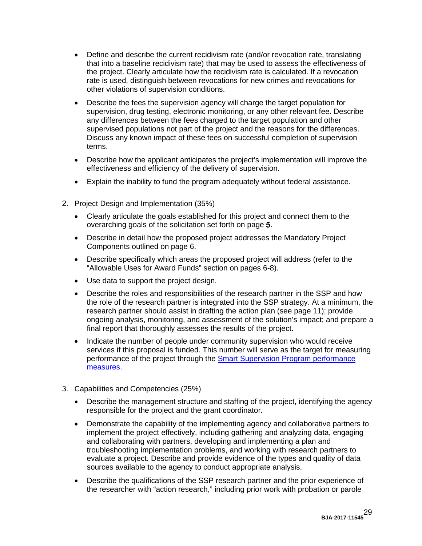- Define and describe the current recidivism rate (and/or revocation rate, translating that into a baseline recidivism rate) that may be used to assess the effectiveness of the project. Clearly articulate how the recidivism rate is calculated. If a revocation rate is used, distinguish between revocations for new crimes and revocations for other violations of supervision conditions.
- Describe the fees the supervision agency will charge the target population for supervision, drug testing, electronic monitoring, or any other relevant fee. Describe any differences between the fees charged to the target population and other supervised populations not part of the project and the reasons for the differences. Discuss any known impact of these fees on successful completion of supervision terms.
- Describe how the applicant anticipates the project's implementation will improve the effectiveness and efficiency of the delivery of supervision.
- Explain the inability to fund the program adequately without federal assistance.
- 2. Project Design and Implementation (35%)
	- Clearly articulate the goals established for this project and connect them to the overarching goals of the solicitation set forth on page 5.
	- Describe in detail how the proposed project addresses the Mandatory Project Components outlined on page 6.
	- Describe specifically which areas the proposed project will address (refer to the "Allowable Uses for Award Funds" section on pages 6-8).
	- Use data to support the project design.
	- Describe the roles and responsibilities of the research partner in the SSP and how the role of the research partner is integrated into the SSP strategy. At a minimum, the research partner should assist in drafting the action plan (see page [11\)](#page-10-2); provide ongoing analysis, monitoring, and assessment of the solution's impact; and prepare a final report that thoroughly assesses the results of the project.
	- Indicate the number of people under community supervision who would receive services if this proposal is funded. This number will serve as the target for measuring performance of the project through the [Smart Supervision Program performance](https://www.bjaperformancetools.org/help/SSPMeasures.pdf) [measures.](https://www.bjaperformancetools.org/help/SSPMeasures.pdf)
- 3. Capabilities and Competencies (25%)
	- Describe the management structure and staffing of the project, identifying the agency responsible for the project and the grant coordinator.
	- Demonstrate the capability of the implementing agency and collaborative partners to implement the project effectively, including gathering and analyzing data, engaging and collaborating with partners, developing and implementing a plan and troubleshooting implementation problems, and working with research partners to evaluate a project. Describe and provide evidence of the types and quality of data sources available to the agency to conduct appropriate analysis.
	- Describe the qualifications of the SSP research partner and the prior experience of the researcher with "action research," including prior work with probation or parole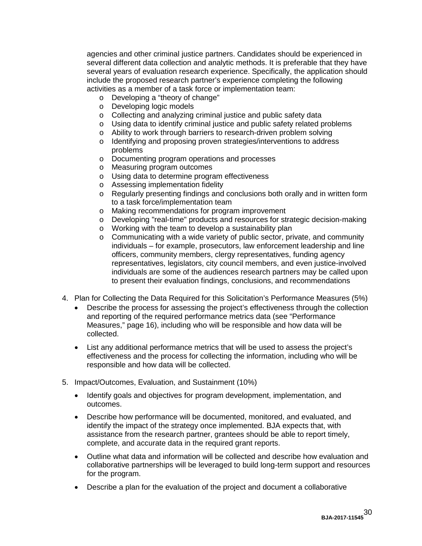agencies and other criminal justice partners. Candidates should be experienced in several different data collection and analytic methods. It is preferable that they have several years of evaluation research experience. Specifically, the application should include the proposed research partner's experience completing the following activities as a member of a task force or implementation team:

- o Developing a "theory of change"
- o Developing logic models
- o Collecting and analyzing criminal justice and public safety data
- o Using data to identify criminal justice and public safety related problems
- o Ability to work through barriers to research-driven problem solving
- o Identifying and proposing proven strategies/interventions to address problems
- o Documenting program operations and processes
- o Measuring program outcomes
- o Using data to determine program effectiveness
- o Assessing implementation fidelity
- o Regularly presenting findings and conclusions both orally and in written form to a task force/implementation team
- o Making recommendations for program improvement
- o Developing "real-time" products and resources for strategic decision-making
- o Working with the team to develop a sustainability plan
- $\circ$  Communicating with a wide variety of public sector, private, and community individuals – for example, prosecutors, law enforcement leadership and line officers, community members, clergy representatives, funding agency representatives, legislators, city council members, and even justice-involved individuals are some of the audiences research partners may be called upon to present their evaluation findings, conclusions, and recommendations
- 4. Plan for Collecting the Data Required for this Solicitation's Performance Measures (5%)
	- Describe the process for assessing the project's effectiveness through the collection and reporting of the required performance metrics data (see "Performance Measures," page 16), including who will be responsible and how data will be collected.
	- List any additional performance metrics that will be used to assess the project's effectiveness and the process for collecting the information, including who will be responsible and how data will be collected.
- 5. Impact/Outcomes, Evaluation, and Sustainment (10%)
	- Identify goals and objectives for program development, implementation, and outcomes.
	- Describe how performance will be documented, monitored, and evaluated, and identify the impact of the strategy once implemented. BJA expects that, with assistance from the research partner, grantees should be able to report timely, complete, and accurate data in the required grant reports.
	- Outline what data and information will be collected and describe how evaluation and collaborative partnerships will be leveraged to build long-term support and resources for the program.
	- Describe a plan for the evaluation of the project and document a collaborative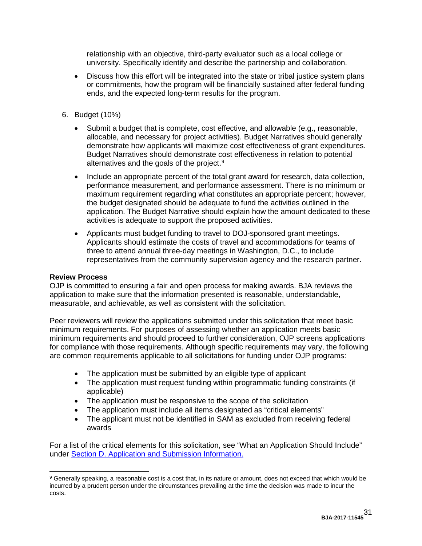relationship with an objective, third-party evaluator such as a local college or university. Specifically identify and describe the partnership and collaboration.

- Discuss how this effort will be integrated into the state or tribal justice system plans or commitments, how the program will be financially sustained after federal funding ends, and the expected long-term results for the program.
- 6. Budget (10%)
	- Submit a budget that is complete, cost effective, and allowable (e.g., reasonable, allocable, and necessary for project activities). Budget Narratives should generally demonstrate how applicants will maximize cost effectiveness of grant expenditures. Budget Narratives should demonstrate cost effectiveness in relation to potential alternatives and the goals of the project.<sup>[9](#page-30-1)</sup>
	- Include an appropriate percent of the total grant award for research, data collection, performance measurement, and performance assessment. There is no minimum or maximum requirement regarding what constitutes an appropriate percent; however, the budget designated should be adequate to fund the activities outlined in the application. The Budget Narrative should explain how the amount dedicated to these activities is adequate to support the proposed activities.
	- Applicants must budget funding to travel to DOJ-sponsored grant meetings. Applicants should estimate the costs of travel and accommodations for teams of three to attend annual three-day meetings in Washington, D.C., to include representatives from the community supervision agency and the research partner.

#### <span id="page-30-0"></span>**Review Process**

OJP is committed to ensuring a fair and open process for making awards. BJA reviews the application to make sure that the information presented is reasonable, understandable, measurable, and achievable, as well as consistent with the solicitation.

Peer reviewers will review the applications submitted under this solicitation that meet basic minimum requirements. For purposes of assessing whether an application meets basic minimum requirements and should proceed to further consideration, OJP screens applications for compliance with those requirements. Although specific requirements may vary, the following are common requirements applicable to all solicitations for funding under OJP programs:

- The application must be submitted by an eligible type of applicant
- The application must request funding within programmatic funding constraints (if applicable)
- The application must be responsive to the scope of the solicitation
- The application must include all items designated as "critical elements"
- The applicant must not be identified in SAM as excluded from receiving federal awards

For a list of the critical elements for this solicitation, see "What an Application Should Include" under [Section D. Application and Submission Information.](#page-13-0)

<span id="page-30-1"></span><sup>9</sup> Generally speaking, a reasonable cost is a cost that, in its nature or amount, does not exceed that which would be incurred by a prudent person under the circumstances prevailing at the time the decision was made to incur the costs.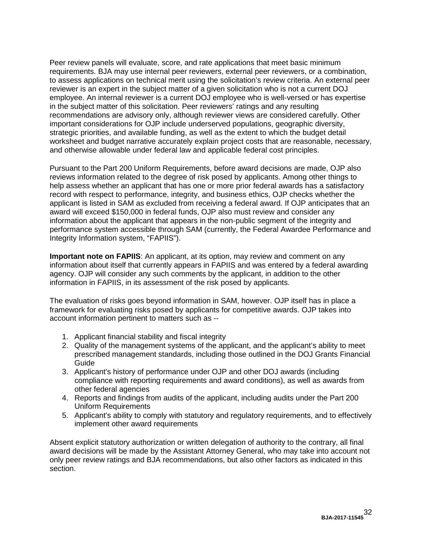Peer review panels will evaluate, score, and rate applications that meet basic minimum requirements. BJA may use internal peer reviewers, external peer reviewers, or a combination, to assess applications on technical merit using the solicitation's review criteria. An external peer reviewer is an expert in the subject matter of a given solicitation who is not a current DOJ employee. An internal reviewer is a current DOJ employee who is well-versed or has expertise in the subject matter of this solicitation. Peer reviewers' ratings and any resulting recommendations are advisory only, although reviewer views are considered carefully. Other important considerations for OJP include underserved populations, geographic diversity, strategic priorities, and available funding, as well as the extent to which the budget detail worksheet and budget narrative accurately explain project costs that are reasonable, necessary, and otherwise allowable under federal law and applicable federal cost principles.

Pursuant to the Part 200 Uniform Requirements, before award decisions are made, OJP also reviews information related to the degree of risk posed by applicants. Among other things to help assess whether an applicant that has one or more prior federal awards has a satisfactory record with respect to performance, integrity, and business ethics, OJP checks whether the applicant is listed in SAM as excluded from receiving a federal award*.* If OJP anticipates that an award will exceed \$150,000 in federal funds, OJP also must review and consider any information about the applicant that appears in the non-public segment of the integrity and performance system accessible through SAM (currently, the Federal Awardee Performance and Integrity Information system, "FAPIIS").

**Important note on FAPIIS:** An applicant, at its option, may review and comment on any information about itself that currently appears in FAPIIS and was entered by a federal awarding agency. OJP will consider any such comments by the applicant, in addition to the other information in FAPIIS, in its assessment of the risk posed by applicants.

The evaluation of risks goes beyond information in SAM, however. OJP itself has in place a framework for evaluating risks posed by applicants for competitive awards. OJP takes into account information pertinent to matters such as --

- 1. Applicant financial stability and fiscal integrity
- 2. Quality of the management systems of the applicant, and the applicant's ability to meet prescribed management standards, including those outlined in the DOJ Grants Financial Guide
- 3. Applicant's history of performance under OJP and other DOJ awards (including compliance with reporting requirements and award conditions), as well as awards from other federal agencies
- 4. Reports and findings from audits of the applicant, including audits under the Part 200 Uniform Requirements
- 5. Applicant's ability to comply with statutory and regulatory requirements, and to effectively implement other award requirements

Absent explicit statutory authorization or written delegation of authority to the contrary, all final award decisions will be made by the Assistant Attorney General, who may take into account not only peer review ratings and BJA recommendations, but also other factors as indicated in this section.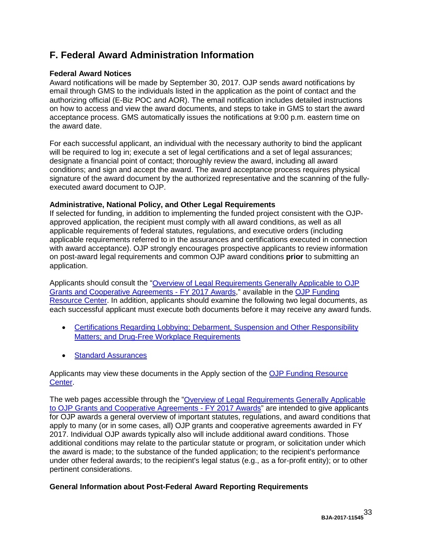# <span id="page-32-0"></span>**F. Federal Award Administration Information**

#### <span id="page-32-1"></span>**Federal Award Notices**

Award notifications will be made by September 30, 2017. OJP sends award notifications by email through GMS to the individuals listed in the application as the point of contact and the authorizing official (E-Biz POC and AOR). The email notification includes detailed instructions on how to access and view the award documents, and steps to take in GMS to start the award acceptance process. GMS automatically issues the notifications at 9:00 p.m. eastern time on the award date.

For each successful applicant, an individual with the necessary authority to bind the applicant will be required to log in; execute a set of legal certifications and a set of legal assurances; designate a financial point of contact; thoroughly review the award, including all award conditions; and sign and accept the award. The award acceptance process requires physical signature of the award document by the authorized representative and the scanning of the fullyexecuted award document to OJP.

#### <span id="page-32-2"></span>**Administrative, National Policy, and Other Legal Requirements**

If selected for funding, in addition to implementing the funded project consistent with the OJPapproved application, the recipient must comply with all award conditions, as well as all applicable requirements of federal statutes, regulations, and executive orders (including applicable requirements referred to in the assurances and certifications executed in connection with award acceptance). OJP strongly encourages prospective applicants to review information on post-award legal requirements and common OJP award conditions **prior** to submitting an application.

Applicants should consult the ["Overview of Legal Requirements Generally Applicable to OJP](http://ojp.gov/funding/Explore/SolicitationRequirements/index.htm)  [Grants and Cooperative Agreements](http://ojp.gov/funding/Explore/SolicitationRequirements/index.htm) - FY 2017 Awards," available in the [OJP Funding](http://ojp.gov/funding/index.htm)  [Resource Center.](http://ojp.gov/funding/index.htm) In addition, applicants should examine the following two legal documents, as each successful applicant must execute both documents before it may receive any award funds.

- Certifications Regarding Lobbying: Debarment, Suspension and Other Responsibility [Matters; and Drug-Free Workplace Requirements](http://ojp.gov/funding/Apply/Resources/Certifications.pdf)
- [Standard Assurances](http://ojp.gov/funding/Apply/Resources/StandardAssurances.pdf)

Applicants may view these documents in the Apply section of the [OJP Funding Resource](http://ojp.gov/funding/index.htm)  [Center.](http://ojp.gov/funding/index.htm)

The web pages accessible through the ["Overview of Legal Requirements Generally Applicable](http://ojp.gov/funding/Explore/SolicitationRequirements/index.htm)  [to OJP Grants and Cooperative Agreements](http://ojp.gov/funding/Explore/SolicitationRequirements/index.htm) - FY 2017 Awards" are intended to give applicants for OJP awards a general overview of important statutes, regulations, and award conditions that apply to many (or in some cases, all) OJP grants and cooperative agreements awarded in FY 2017. Individual OJP awards typically also will include additional award conditions. Those additional conditions may relate to the particular statute or program, or solicitation under which the award is made; to the substance of the funded application; to the recipient's performance under other federal awards; to the recipient's legal status (e.g., as a for-profit entity); or to other pertinent considerations.

#### <span id="page-32-3"></span>**General Information about Post-Federal Award Reporting Requirements**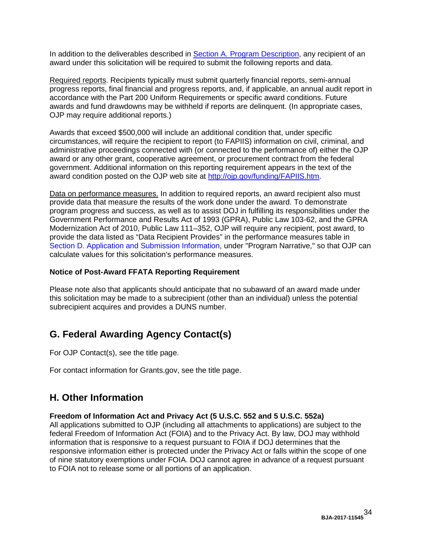In addition to the deliverables described in Section A. [Program Description,](#page-3-0) any recipient of an award under this solicitation will be required to submit the following reports and data.

Required reports. Recipients typically must submit quarterly financial reports, semi-annual progress reports, final financial and progress reports, and, if applicable, an annual audit report in accordance with the Part 200 Uniform Requirements or specific award conditions. Future awards and fund drawdowns may be withheld if reports are delinquent. (In appropriate cases, OJP may require additional reports.)

Awards that exceed \$500,000 will include an additional condition that, under specific circumstances, will require the recipient to report (to FAPIIS) information on civil, criminal, and administrative proceedings connected with (or connected to the performance of) either the OJP award or any other grant, cooperative agreement, or procurement contract from the federal government. Additional information on this reporting requirement appears in the text of the award condition posted on the OJP web site at [http://ojp.gov/funding/FAPIIS.htm.](http://ojp.gov/funding/FAPIIS.htm)

Data on performance measures. In addition to required reports, an award recipient also must provide data that measure the results of the work done under the award. To demonstrate program progress and success, as well as to assist DOJ in fulfilling its responsibilities under the Government Performance and Results Act of 1993 (GPRA), Public Law 103-62, and the GPRA Modernization Act of 2010, Public Law 111–352, OJP will require any recipient, post award, to provide the data listed as "Data Recipient Provides" in the performance measures table in [Section D. Application and Submission Information,](#page-13-0) under "Program Narrative," so that OJP can calculate values for this solicitation's performance measures.

#### **Notice of Post-Award FFATA Reporting Requirement**

Please note also that applicants should anticipate that no subaward of an award made under this solicitation may be made to a subrecipient (other than an individual) unless the potential subrecipient acquires and provides a DUNS number.

## <span id="page-33-0"></span>**G. Federal Awarding Agency Contact(s)**

For OJP Contact(s), see the title page.

For contact information for Grants.gov, see the title page.

## <span id="page-33-1"></span>**H. Other Information**

#### <span id="page-33-2"></span>**Freedom of Information Act and Privacy Act (5 U.S.C. 552 and 5 U.S.C. 552a)**

All applications submitted to OJP (including all attachments to applications) are subject to the federal Freedom of Information Act (FOIA) and to the Privacy Act. By law, DOJ may withhold information that is responsive to a request pursuant to FOIA if DOJ determines that the responsive information either is protected under the Privacy Act or falls within the scope of one of nine statutory exemptions under FOIA. DOJ cannot agree in advance of a request pursuant to FOIA not to release some or all portions of an application.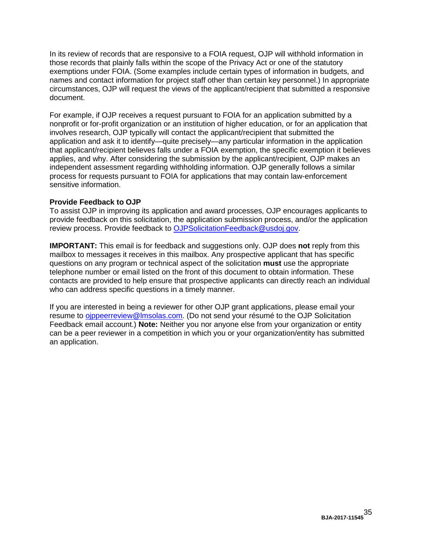In its review of records that are responsive to a FOIA request, OJP will withhold information in those records that plainly falls within the scope of the Privacy Act or one of the statutory exemptions under FOIA. (Some examples include certain types of information in budgets, and names and contact information for project staff other than certain key personnel.) In appropriate circumstances, OJP will request the views of the applicant/recipient that submitted a responsive document.

For example, if OJP receives a request pursuant to FOIA for an application submitted by a nonprofit or for-profit organization or an institution of higher education, or for an application that involves research, OJP typically will contact the applicant/recipient that submitted the application and ask it to identify—quite precisely—any particular information in the application that applicant/recipient believes falls under a FOIA exemption, the specific exemption it believes applies, and why. After considering the submission by the applicant/recipient, OJP makes an independent assessment regarding withholding information. OJP generally follows a similar process for requests pursuant to FOIA for applications that may contain law-enforcement sensitive information.

#### <span id="page-34-0"></span>**Provide Feedback to OJP**

To assist OJP in improving its application and award processes, OJP encourages applicants to provide feedback on this solicitation, the application submission process, and/or the application review process. Provide feedback to [OJPSolicitationFeedback@usdoj.gov.](mailto:OJPSolicitationFeedback@usdoj.gov)

**IMPORTANT:** This email is for feedback and suggestions only. OJP does **not** reply from this mailbox to messages it receives in this mailbox. Any prospective applicant that has specific questions on any program or technical aspect of the solicitation **must** use the appropriate telephone number or email listed on the front of this document to obtain information. These contacts are provided to help ensure that prospective applicants can directly reach an individual who can address specific questions in a timely manner.

If you are interested in being a reviewer for other OJP grant applications, please email your resume to [ojppeerreview@lmsolas.com.](mailto:ojppeerreview@lmsolas.com) (Do not send your résumé to the OJP Solicitation Feedback email account.) **Note:** Neither you nor anyone else from your organization or entity can be a peer reviewer in a competition in which you or your organization/entity has submitted an application.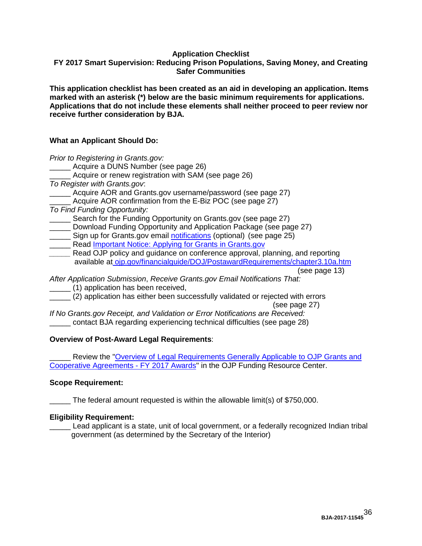#### **Application Checklist**

#### <span id="page-35-0"></span>**FY 2017 Smart Supervision: Reducing Prison Populations, Saving Money, and Creating Safer Communities**

**This application checklist has been created as an aid in developing an application. Items marked with an asterisk (\*) below are the basic minimum requirements for applications. Applications that do not include these elements shall neither proceed to peer review nor receive further consideration by BJA.**

#### **What an Applicant Should Do:**

*Prior to Registering in Grants.gov:* \_\_\_\_\_ Acquire a DUNS Number (see page 26) Acquire or renew registration with SAM (see page 26) *To Register with Grants.gov*: Acquire AOR and Grants.gov username/password (see page 27) Acquire AOR confirmation from the E-Biz POC (see page 27) *To Find Funding Opportunity:* Search for the Funding Opportunity on Grants.gov (see page 27) Download Funding Opportunity and Application Package (see page 27) Sign up for Grants.gov email [notifications](http://www.grants.gov/web/grants/manage-subscriptions.html) (optional) (see page 25) Read [Important Notice: Applying for Grants in Grants.gov](http://ojp.gov/funding/Apply/Grants-govInfo.htm) *\_\_\_\_\_* Read OJP policy and guidance on conference approval, planning, and reporting available at [ojp.gov/financialguide/DOJ/PostawardRequirements/chapter3.10a.htm](http://ojp.gov/financialguide/DOJ/PostawardRequirements/chapter3.10a.htm) *After Application Submission*, *Receive Grants.gov Email Notifications That:* \_\_\_\_\_ (1) application has been received,

\_\_\_\_\_ (2) application has either been successfully validated or rejected with errors

(see page 27) *If No Grants.gov Receipt, and Validation or Error Notifications are Received:*

contact BJA regarding experiencing technical difficulties (see page 28)

#### **Overview of Post-Award Legal Requirements**:

Review the "Overview of Legal Requirements Generally Applicable to OJP Grants and [Cooperative Agreements -](http://ojp.gov/funding/Explore/SolicitationRequirements/index.htm) FY 2017 Awards" in the OJP Funding Resource Center.

#### **Scope Requirement:**

The federal amount requested is within the allowable limit(s) of \$750,000.

#### **Eligibility Requirement:**

Lead applicant is a state, unit of local government, or a federally recognized Indian tribal government (as determined by the Secretary of the Interior)

(see page 13)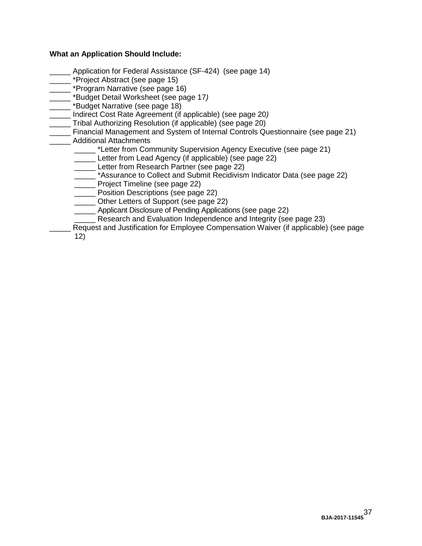#### **What an Application Should Include:**

- Application for Federal Assistance (SF-424) (see page 14)
- \_ \*Project Abstract (see page 15)
- **The state of the state of the state of the state of the state of the state of the state of the state of the state of the state of the state of the state of the state of the state of the state of the state of the state of**
- \_\_\_\_\_ \*Budget Detail Worksheet (see page 17*)*
- \_ \*Budget Narrative (see page 18)
- \_\_\_\_\_ Indirect Cost Rate Agreement (if applicable) (see page 20*)*
- Tribal Authorizing Resolution (if applicable) (see page 20)
- Financial Management and System of Internal Controls Questionnaire (see page 21) \_\_\_\_\_ Additional Attachments
	- \_\*Letter from Community Supervision Agency Executive (see page 21)
	- \_\_\_\_\_ Letter from Lead Agency (if applicable) (see page 22)
	- Letter from Research Partner (see page 22)
	- \_\_\_\_\_ \*Assurance to Collect and Submit Recidivism Indicator Data (see page 22)
	- \_\_\_\_\_ Project Timeline (see page 22)
	- \_\_\_\_\_ Position Descriptions (see page 22)
	- Other Letters of Support (see page 22)
	- Applicant Disclosure of Pending Applications (see page 22)
		- Research and Evaluation Independence and Integrity (see page 23)
	- Request and Justification for Employee Compensation Waiver (if applicable) (see page
	- 12)